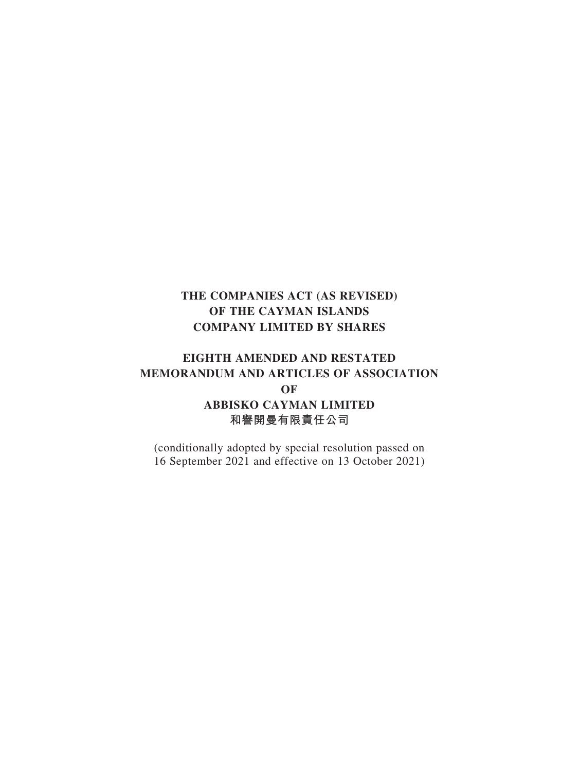## **EIGHTH AMENDED AND RESTATED MEMORANDUM AND ARTICLES OF ASSOCIATION OF ABBISKO CAYMAN LIMITED 和譽開曼有限責任公司**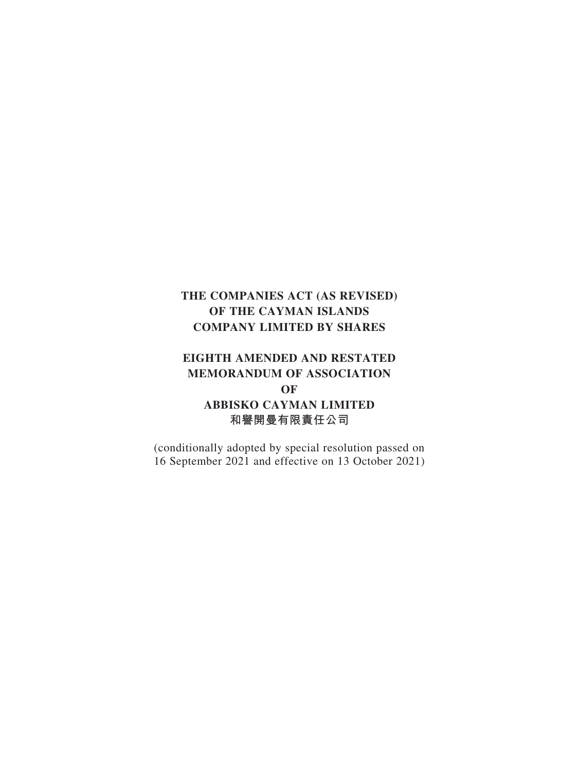## **EIGHTH AMENDED AND RESTATED MEMORANDUM OF ASSOCIATION OF ABBISKO CAYMAN LIMITED 和譽開曼有限責任公司**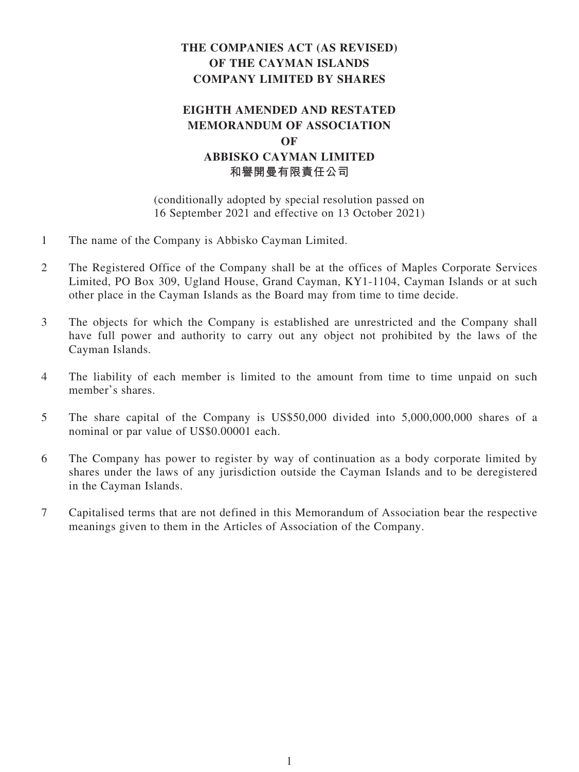## **EIGHTH AMENDED AND RESTATED MEMORANDUM OF ASSOCIATION OF ABBISKO CAYMAN LIMITED 和譽開曼有限責任公司**

- 1 The name of the Company is Abbisko Cayman Limited.
- 2 The Registered Office of the Company shall be at the offices of Maples Corporate Services Limited, PO Box 309, Ugland House, Grand Cayman, KY1-1104, Cayman Islands or at such other place in the Cayman Islands as the Board may from time to time decide.
- 3 The objects for which the Company is established are unrestricted and the Company shall have full power and authority to carry out any object not prohibited by the laws of the Cayman Islands.
- 4 The liability of each member is limited to the amount from time to time unpaid on such member's shares.
- 5 The share capital of the Company is US\$50,000 divided into 5,000,000,000 shares of a nominal or par value of US\$0.00001 each.
- 6 The Company has power to register by way of continuation as a body corporate limited by shares under the laws of any jurisdiction outside the Cayman Islands and to be deregistered in the Cayman Islands.
- 7 Capitalised terms that are not defined in this Memorandum of Association bear the respective meanings given to them in the Articles of Association of the Company.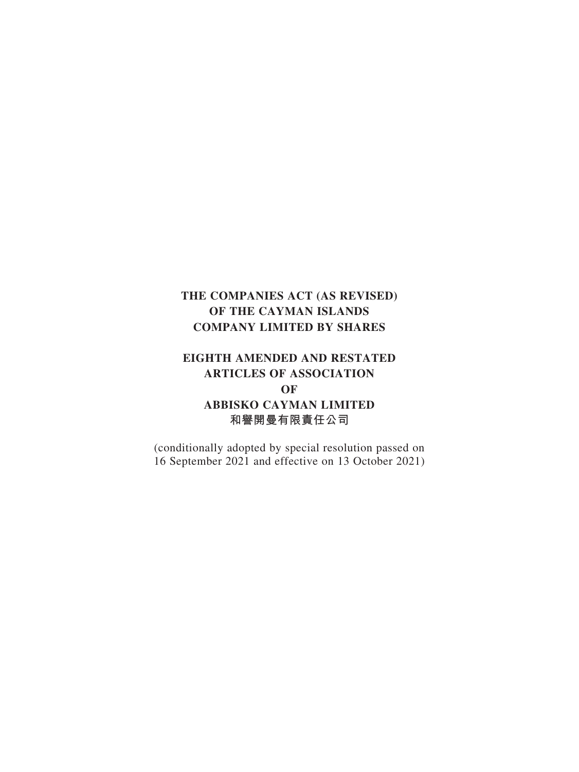## **EIGHTH AMENDED AND RESTATED ARTICLES OF ASSOCIATION OF ABBISKO CAYMAN LIMITED 和譽開曼有限責任公司**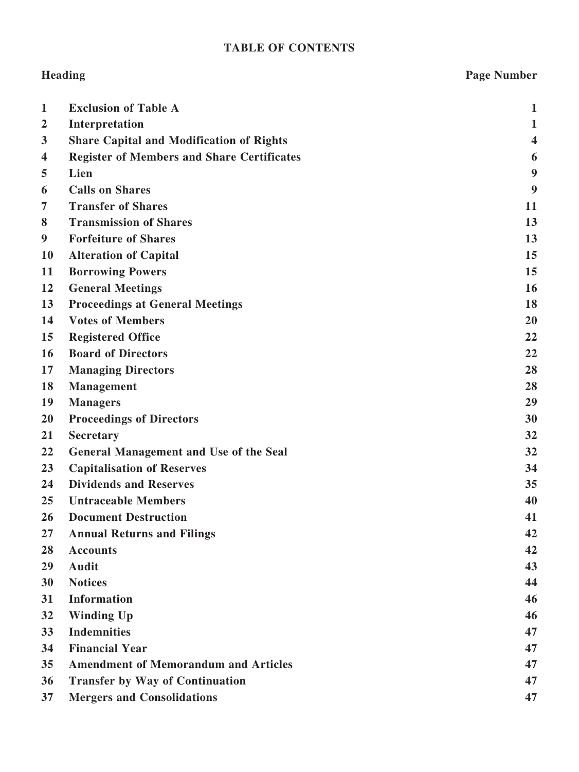## **TABLE OF CONTENTS**

# **Heading Page Number 1 Exclusion of Table A 1 2 Interpretation 1 3 Share Capital and Modification of Rights 4 4 Register of Members and Share Certificates 6 5 Lien 9 6 Calls on Shares 9 7 Transfer of Shares 11 8 Transmission of Shares 13 9 Forfeiture of Shares 13 10 Alteration of Capital 15 11 Borrowing Powers 15 12 General Meetings 16 13 Proceedings at General Meetings 18 14 Votes of Members 20 15 Registered Office 22 16 Board of Directors 22 17 Managing Directors 28 18 Management 28 19 Managers 29 20 Proceedings of Directors 30 21 Secretary 32 22 General Management and Use of the Seal 32 23 Capitalisation of Reserves 34 24 Dividends and Reserves 35 25 Untraceable Members 40 26 Document Destruction 41 27 Annual Returns and Filings 42 28 Accounts 42 29 Audit 43 30 Notices 44 31 Information 46 32 Winding Up 46 33 Indemnities 47 34 Financial Year 47 35 Amendment of Memorandum and Articles 47 36 Transfer by Way of Continuation 47 37 Mergers and Consolidations 47**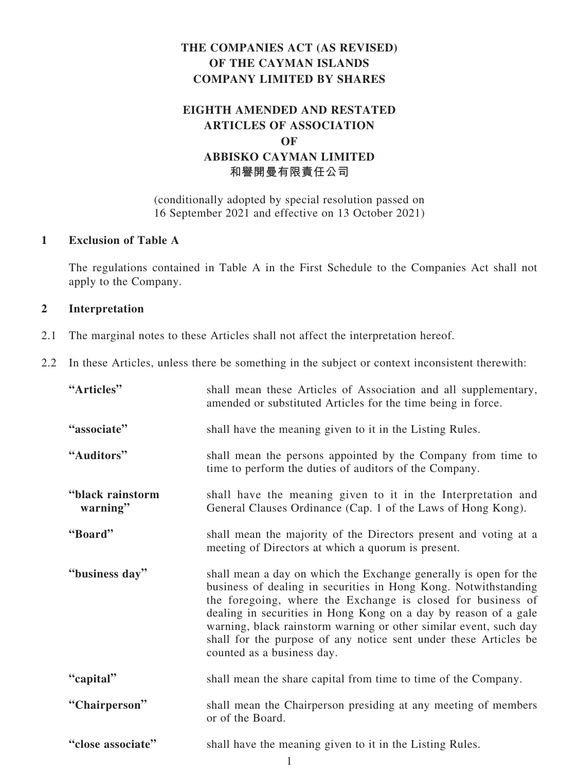## **EIGHTH AMENDED AND RESTATED ARTICLES OF ASSOCIATION OF ABBISKO CAYMAN LIMITED 和譽開曼有限責任公司**

(conditionally adopted by special resolution passed on 16 September 2021 and effective on 13 October 2021)

## **1 Exclusion of Table A**

The regulations contained in Table A in the First Schedule to the Companies Act shall not apply to the Company.

## **2 Interpretation**

- 2.1 The marginal notes to these Articles shall not affect the interpretation hereof.
- 2.2 In these Articles, unless there be something in the subject or context inconsistent therewith:

| "Articles"                   | shall mean these Articles of Association and all supplementary,<br>amended or substituted Articles for the time being in force.                                                                                                                                                                                                                                                                                                              |
|------------------------------|----------------------------------------------------------------------------------------------------------------------------------------------------------------------------------------------------------------------------------------------------------------------------------------------------------------------------------------------------------------------------------------------------------------------------------------------|
| "associate"                  | shall have the meaning given to it in the Listing Rules.                                                                                                                                                                                                                                                                                                                                                                                     |
| "Auditors"                   | shall mean the persons appointed by the Company from time to<br>time to perform the duties of auditors of the Company.                                                                                                                                                                                                                                                                                                                       |
| "black rainstorm<br>warning" | shall have the meaning given to it in the Interpretation and<br>General Clauses Ordinance (Cap. 1 of the Laws of Hong Kong).                                                                                                                                                                                                                                                                                                                 |
| "Board"                      | shall mean the majority of the Directors present and voting at a<br>meeting of Directors at which a quorum is present.                                                                                                                                                                                                                                                                                                                       |
| "business day"               | shall mean a day on which the Exchange generally is open for the<br>business of dealing in securities in Hong Kong. Notwithstanding<br>the foregoing, where the Exchange is closed for business of<br>dealing in securities in Hong Kong on a day by reason of a gale<br>warning, black rainstorm warning or other similar event, such day<br>shall for the purpose of any notice sent under these Articles be<br>counted as a business day. |
| "capital"                    | shall mean the share capital from time to time of the Company.                                                                                                                                                                                                                                                                                                                                                                               |
| "Chairperson"                | shall mean the Chairperson presiding at any meeting of members<br>or of the Board.                                                                                                                                                                                                                                                                                                                                                           |
| "close associate"            | shall have the meaning given to it in the Listing Rules.                                                                                                                                                                                                                                                                                                                                                                                     |

1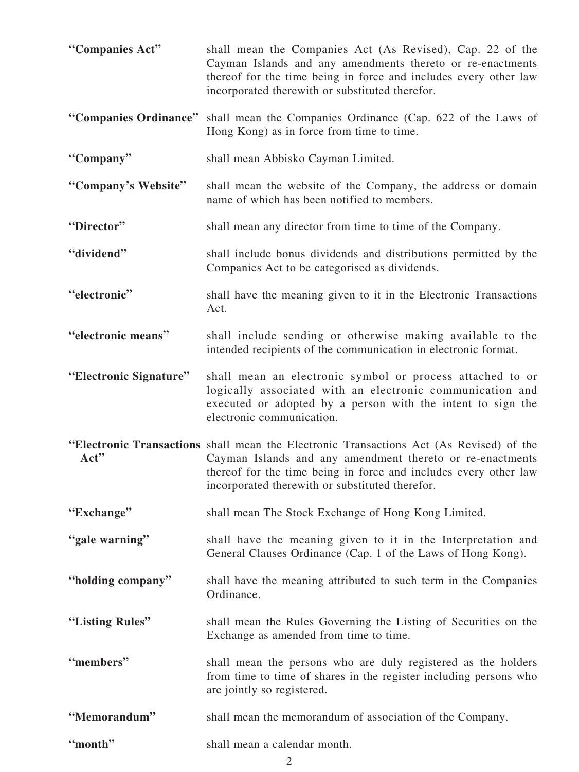| "Companies Act"        | shall mean the Companies Act (As Revised), Cap. 22 of the<br>Cayman Islands and any amendments thereto or re-enactments<br>thereof for the time being in force and includes every other law<br>incorporated therewith or substituted therefor.                              |
|------------------------|-----------------------------------------------------------------------------------------------------------------------------------------------------------------------------------------------------------------------------------------------------------------------------|
|                        | "Companies Ordinance" shall mean the Companies Ordinance (Cap. 622 of the Laws of<br>Hong Kong) as in force from time to time.                                                                                                                                              |
| "Company"              | shall mean Abbisko Cayman Limited.                                                                                                                                                                                                                                          |
| "Company's Website"    | shall mean the website of the Company, the address or domain<br>name of which has been notified to members.                                                                                                                                                                 |
| "Director"             | shall mean any director from time to time of the Company.                                                                                                                                                                                                                   |
| "dividend"             | shall include bonus dividends and distributions permitted by the<br>Companies Act to be categorised as dividends.                                                                                                                                                           |
| "electronic"           | shall have the meaning given to it in the Electronic Transactions<br>Act.                                                                                                                                                                                                   |
| "electronic means"     | shall include sending or otherwise making available to the<br>intended recipients of the communication in electronic format.                                                                                                                                                |
| "Electronic Signature" | shall mean an electronic symbol or process attached to or<br>logically associated with an electronic communication and<br>executed or adopted by a person with the intent to sign the<br>electronic communication.                                                          |
| Act"                   | "Electronic Transactions shall mean the Electronic Transactions Act (As Revised) of the<br>Cayman Islands and any amendment thereto or re-enactments<br>thereof for the time being in force and includes every other law<br>incorporated therewith or substituted therefor. |
| "Exchange"             | shall mean The Stock Exchange of Hong Kong Limited.                                                                                                                                                                                                                         |
| "gale warning"         | shall have the meaning given to it in the Interpretation and<br>General Clauses Ordinance (Cap. 1 of the Laws of Hong Kong).                                                                                                                                                |
| "holding company"      | shall have the meaning attributed to such term in the Companies<br>Ordinance.                                                                                                                                                                                               |
| "Listing Rules"        | shall mean the Rules Governing the Listing of Securities on the<br>Exchange as amended from time to time.                                                                                                                                                                   |
| "members"              | shall mean the persons who are duly registered as the holders<br>from time to time of shares in the register including persons who<br>are jointly so registered.                                                                                                            |
| "Memorandum"           | shall mean the memorandum of association of the Company.                                                                                                                                                                                                                    |
| "month"                | shall mean a calendar month.                                                                                                                                                                                                                                                |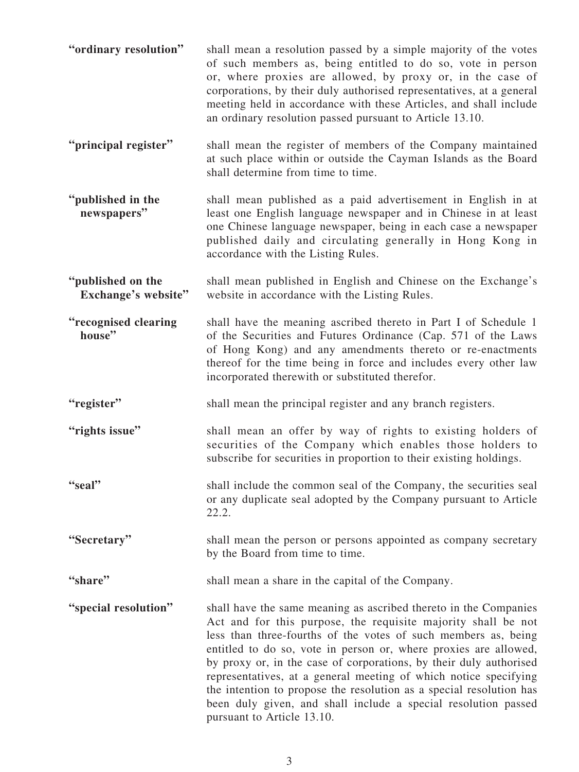- **"ordinary resolution"** shall mean a resolution passed by a simple majority of the votes of such members as, being entitled to do so, vote in person or, where proxies are allowed, by proxy or, in the case of corporations, by their duly authorised representatives, at a general meeting held in accordance with these Articles, and shall include an ordinary resolution passed pursuant to Article 13.10.
- **"principal register"** shall mean the register of members of the Company maintained at such place within or outside the Cayman Islands as the Board shall determine from time to time.
- **"published in the newspapers"** shall mean published as a paid advertisement in English in at least one English language newspaper and in Chinese in at least one Chinese language newspaper, being in each case a newspaper published daily and circulating generally in Hong Kong in accordance with the Listing Rules.
- **"published on the Exchange's website"** shall mean published in English and Chinese on the Exchange's website in accordance with the Listing Rules.
- **"recognised clearing house"** shall have the meaning ascribed thereto in Part I of Schedule 1 of the Securities and Futures Ordinance (Cap. 571 of the Laws of Hong Kong) and any amendments thereto or re-enactments thereof for the time being in force and includes every other law incorporated therewith or substituted therefor.
- **"register"** shall mean the principal register and any branch registers.
- **"rights issue"** shall mean an offer by way of rights to existing holders of securities of the Company which enables those holders to subscribe for securities in proportion to their existing holdings.
- **"seal"** shall include the common seal of the Company, the securities seal or any duplicate seal adopted by the Company pursuant to Article 22.2.
- **"Secretary"** shall mean the person or persons appointed as company secretary by the Board from time to time.
- **"share"** shall mean a share in the capital of the Company.
- **"special resolution"** shall have the same meaning as ascribed thereto in the Companies Act and for this purpose, the requisite majority shall be not less than three-fourths of the votes of such members as, being entitled to do so, vote in person or, where proxies are allowed, by proxy or, in the case of corporations, by their duly authorised representatives, at a general meeting of which notice specifying the intention to propose the resolution as a special resolution has been duly given, and shall include a special resolution passed pursuant to Article 13.10.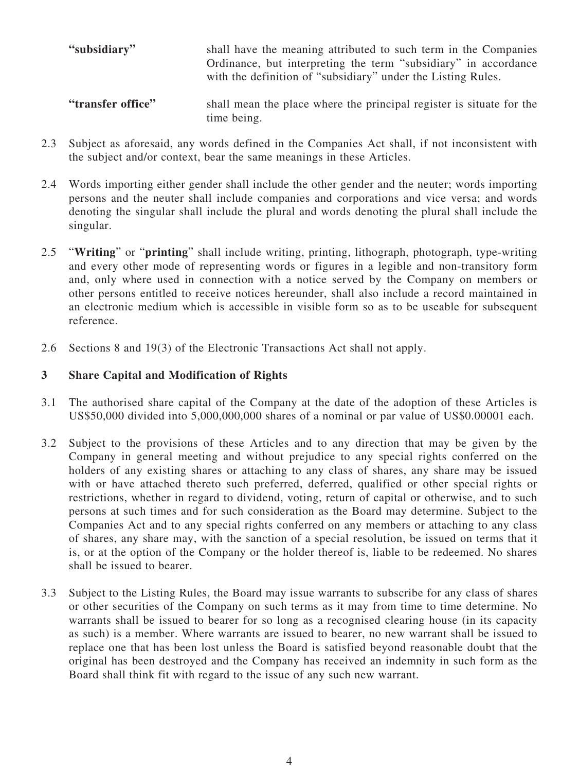| "subsidiary"      | shall have the meaning attributed to such term in the Companies<br>Ordinance, but interpreting the term "subsidiary" in accordance<br>with the definition of "subsidiary" under the Listing Rules. |
|-------------------|----------------------------------------------------------------------------------------------------------------------------------------------------------------------------------------------------|
| "transfer office" | shall mean the place where the principal register is situate for the                                                                                                                               |

- 2.3 Subject as aforesaid, any words defined in the Companies Act shall, if not inconsistent with the subject and/or context, bear the same meanings in these Articles.
- 2.4 Words importing either gender shall include the other gender and the neuter; words importing persons and the neuter shall include companies and corporations and vice versa; and words denoting the singular shall include the plural and words denoting the plural shall include the singular.
- 2.5 "**Writing**" or "**printing**" shall include writing, printing, lithograph, photograph, type-writing and every other mode of representing words or figures in a legible and non-transitory form and, only where used in connection with a notice served by the Company on members or other persons entitled to receive notices hereunder, shall also include a record maintained in an electronic medium which is accessible in visible form so as to be useable for subsequent reference.
- 2.6 Sections 8 and 19(3) of the Electronic Transactions Act shall not apply.

time being.

## **3 Share Capital and Modification of Rights**

- 3.1 The authorised share capital of the Company at the date of the adoption of these Articles is US\$50,000 divided into 5,000,000,000 shares of a nominal or par value of US\$0.00001 each.
- 3.2 Subject to the provisions of these Articles and to any direction that may be given by the Company in general meeting and without prejudice to any special rights conferred on the holders of any existing shares or attaching to any class of shares, any share may be issued with or have attached thereto such preferred, deferred, qualified or other special rights or restrictions, whether in regard to dividend, voting, return of capital or otherwise, and to such persons at such times and for such consideration as the Board may determine. Subject to the Companies Act and to any special rights conferred on any members or attaching to any class of shares, any share may, with the sanction of a special resolution, be issued on terms that it is, or at the option of the Company or the holder thereof is, liable to be redeemed. No shares shall be issued to bearer.
- 3.3 Subject to the Listing Rules, the Board may issue warrants to subscribe for any class of shares or other securities of the Company on such terms as it may from time to time determine. No warrants shall be issued to bearer for so long as a recognised clearing house (in its capacity as such) is a member. Where warrants are issued to bearer, no new warrant shall be issued to replace one that has been lost unless the Board is satisfied beyond reasonable doubt that the original has been destroyed and the Company has received an indemnity in such form as the Board shall think fit with regard to the issue of any such new warrant.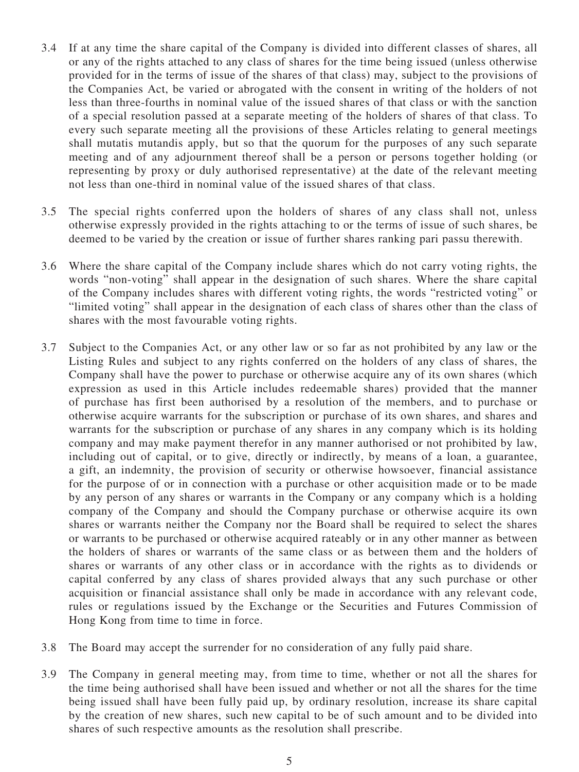- 3.4 If at any time the share capital of the Company is divided into different classes of shares, all or any of the rights attached to any class of shares for the time being issued (unless otherwise provided for in the terms of issue of the shares of that class) may, subject to the provisions of the Companies Act, be varied or abrogated with the consent in writing of the holders of not less than three-fourths in nominal value of the issued shares of that class or with the sanction of a special resolution passed at a separate meeting of the holders of shares of that class. To every such separate meeting all the provisions of these Articles relating to general meetings shall mutatis mutandis apply, but so that the quorum for the purposes of any such separate meeting and of any adjournment thereof shall be a person or persons together holding (or representing by proxy or duly authorised representative) at the date of the relevant meeting not less than one-third in nominal value of the issued shares of that class.
- 3.5 The special rights conferred upon the holders of shares of any class shall not, unless otherwise expressly provided in the rights attaching to or the terms of issue of such shares, be deemed to be varied by the creation or issue of further shares ranking pari passu therewith.
- 3.6 Where the share capital of the Company include shares which do not carry voting rights, the words "non-voting" shall appear in the designation of such shares. Where the share capital of the Company includes shares with different voting rights, the words "restricted voting" or "limited voting" shall appear in the designation of each class of shares other than the class of shares with the most favourable voting rights.
- 3.7 Subject to the Companies Act, or any other law or so far as not prohibited by any law or the Listing Rules and subject to any rights conferred on the holders of any class of shares, the Company shall have the power to purchase or otherwise acquire any of its own shares (which expression as used in this Article includes redeemable shares) provided that the manner of purchase has first been authorised by a resolution of the members, and to purchase or otherwise acquire warrants for the subscription or purchase of its own shares, and shares and warrants for the subscription or purchase of any shares in any company which is its holding company and may make payment therefor in any manner authorised or not prohibited by law, including out of capital, or to give, directly or indirectly, by means of a loan, a guarantee, a gift, an indemnity, the provision of security or otherwise howsoever, financial assistance for the purpose of or in connection with a purchase or other acquisition made or to be made by any person of any shares or warrants in the Company or any company which is a holding company of the Company and should the Company purchase or otherwise acquire its own shares or warrants neither the Company nor the Board shall be required to select the shares or warrants to be purchased or otherwise acquired rateably or in any other manner as between the holders of shares or warrants of the same class or as between them and the holders of shares or warrants of any other class or in accordance with the rights as to dividends or capital conferred by any class of shares provided always that any such purchase or other acquisition or financial assistance shall only be made in accordance with any relevant code, rules or regulations issued by the Exchange or the Securities and Futures Commission of Hong Kong from time to time in force.
- 3.8 The Board may accept the surrender for no consideration of any fully paid share.
- 3.9 The Company in general meeting may, from time to time, whether or not all the shares for the time being authorised shall have been issued and whether or not all the shares for the time being issued shall have been fully paid up, by ordinary resolution, increase its share capital by the creation of new shares, such new capital to be of such amount and to be divided into shares of such respective amounts as the resolution shall prescribe.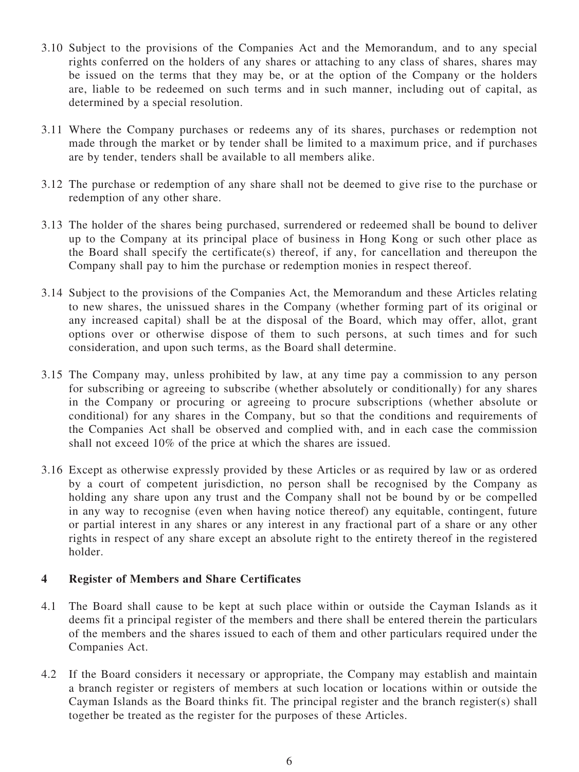- 3.10 Subject to the provisions of the Companies Act and the Memorandum, and to any special rights conferred on the holders of any shares or attaching to any class of shares, shares may be issued on the terms that they may be, or at the option of the Company or the holders are, liable to be redeemed on such terms and in such manner, including out of capital, as determined by a special resolution.
- 3.11 Where the Company purchases or redeems any of its shares, purchases or redemption not made through the market or by tender shall be limited to a maximum price, and if purchases are by tender, tenders shall be available to all members alike.
- 3.12 The purchase or redemption of any share shall not be deemed to give rise to the purchase or redemption of any other share.
- 3.13 The holder of the shares being purchased, surrendered or redeemed shall be bound to deliver up to the Company at its principal place of business in Hong Kong or such other place as the Board shall specify the certificate(s) thereof, if any, for cancellation and thereupon the Company shall pay to him the purchase or redemption monies in respect thereof.
- 3.14 Subject to the provisions of the Companies Act, the Memorandum and these Articles relating to new shares, the unissued shares in the Company (whether forming part of its original or any increased capital) shall be at the disposal of the Board, which may offer, allot, grant options over or otherwise dispose of them to such persons, at such times and for such consideration, and upon such terms, as the Board shall determine.
- 3.15 The Company may, unless prohibited by law, at any time pay a commission to any person for subscribing or agreeing to subscribe (whether absolutely or conditionally) for any shares in the Company or procuring or agreeing to procure subscriptions (whether absolute or conditional) for any shares in the Company, but so that the conditions and requirements of the Companies Act shall be observed and complied with, and in each case the commission shall not exceed 10% of the price at which the shares are issued.
- 3.16 Except as otherwise expressly provided by these Articles or as required by law or as ordered by a court of competent jurisdiction, no person shall be recognised by the Company as holding any share upon any trust and the Company shall not be bound by or be compelled in any way to recognise (even when having notice thereof) any equitable, contingent, future or partial interest in any shares or any interest in any fractional part of a share or any other rights in respect of any share except an absolute right to the entirety thereof in the registered holder.

## <span id="page-10-0"></span>**4 Register of Members and Share Certificates**

- 4.1 The Board shall cause to be kept at such place within or outside the Cayman Islands as it deems fit a principal register of the members and there shall be entered therein the particulars of the members and the shares issued to each of them and other particulars required under the Companies Act.
- 4.2 If the Board considers it necessary or appropriate, the Company may establish and maintain a branch register or registers of members at such location or locations within or outside the Cayman Islands as the Board thinks fit. The principal register and the branch register(s) shall together be treated as the register for the purposes of these Articles.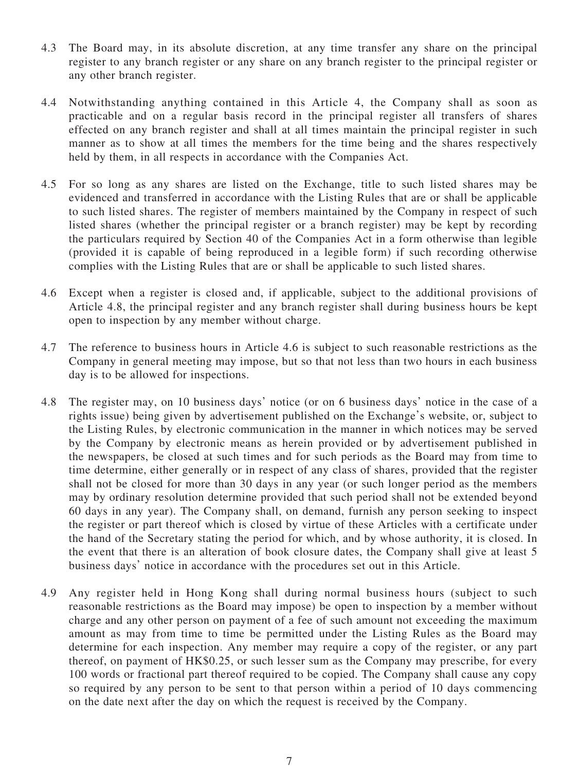- 4.3 The Board may, in its absolute discretion, at any time transfer any share on the principal register to any branch register or any share on any branch register to the principal register or any other branch register.
- 4.4 Notwithstanding anything contained in this Article [4](#page-10-0), the Company shall as soon as practicable and on a regular basis record in the principal register all transfers of shares effected on any branch register and shall at all times maintain the principal register in such manner as to show at all times the members for the time being and the shares respectively held by them, in all respects in accordance with the Companies Act.
- 4.5 For so long as any shares are listed on the Exchange, title to such listed shares may be evidenced and transferred in accordance with the Listing Rules that are or shall be applicable to such listed shares. The register of members maintained by the Company in respect of such listed shares (whether the principal register or a branch register) may be kept by recording the particulars required by Section 40 of the Companies Act in a form otherwise than legible (provided it is capable of being reproduced in a legible form) if such recording otherwise complies with the Listing Rules that are or shall be applicable to such listed shares.
- <span id="page-11-1"></span>4.6 Except when a register is closed and, if applicable, subject to the additional provisions of Article [4.8](#page-11-0), the principal register and any branch register shall during business hours be kept open to inspection by any member without charge.
- 4.7 The reference to business hours in Article [4.6](#page-11-1) is subject to such reasonable restrictions as the Company in general meeting may impose, but so that not less than two hours in each business day is to be allowed for inspections.
- <span id="page-11-0"></span>4.8 The register may, on 10 business days' notice (or on 6 business days' notice in the case of a rights issue) being given by advertisement published on the Exchange's website, or, subject to the Listing Rules, by electronic communication in the manner in which notices may be served by the Company by electronic means as herein provided or by advertisement published in the newspapers, be closed at such times and for such periods as the Board may from time to time determine, either generally or in respect of any class of shares, provided that the register shall not be closed for more than 30 days in any year (or such longer period as the members may by ordinary resolution determine provided that such period shall not be extended beyond 60 days in any year). The Company shall, on demand, furnish any person seeking to inspect the register or part thereof which is closed by virtue of these Articles with a certificate under the hand of the Secretary stating the period for which, and by whose authority, it is closed. In the event that there is an alteration of book closure dates, the Company shall give at least 5 business days' notice in accordance with the procedures set out in this Article.
- 4.9 Any register held in Hong Kong shall during normal business hours (subject to such reasonable restrictions as the Board may impose) be open to inspection by a member without charge and any other person on payment of a fee of such amount not exceeding the maximum amount as may from time to time be permitted under the Listing Rules as the Board may determine for each inspection. Any member may require a copy of the register, or any part thereof, on payment of HK\$0.25, or such lesser sum as the Company may prescribe, for every 100 words or fractional part thereof required to be copied. The Company shall cause any copy so required by any person to be sent to that person within a period of 10 days commencing on the date next after the day on which the request is received by the Company.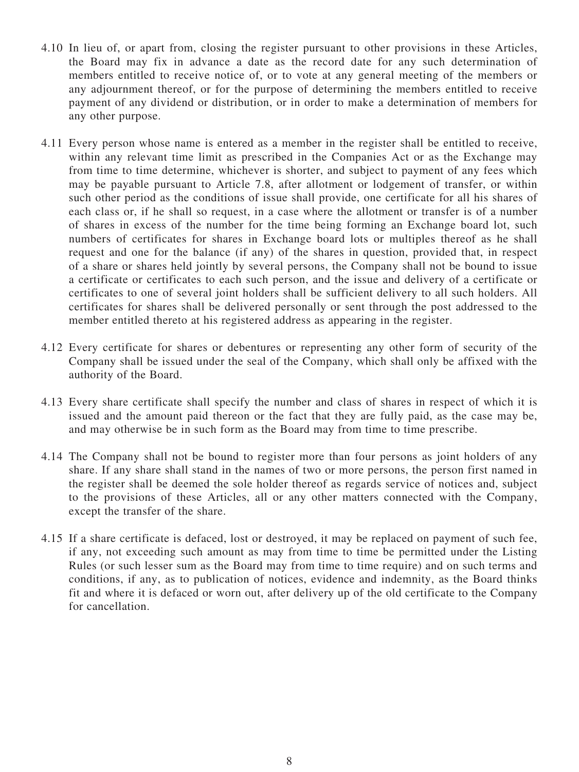- 4.10 In lieu of, or apart from, closing the register pursuant to other provisions in these Articles, the Board may fix in advance a date as the record date for any such determination of members entitled to receive notice of, or to vote at any general meeting of the members or any adjournment thereof, or for the purpose of determining the members entitled to receive payment of any dividend or distribution, or in order to make a determination of members for any other purpose.
- 4.11 Every person whose name is entered as a member in the register shall be entitled to receive, within any relevant time limit as prescribed in the Companies Act or as the Exchange may from time to time determine, whichever is shorter, and subject to payment of any fees which may be payable pursuant to Article 7.8, after allotment or lodgement of transfer, or within such other period as the conditions of issue shall provide, one certificate for all his shares of each class or, if he shall so request, in a case where the allotment or transfer is of a number of shares in excess of the number for the time being forming an Exchange board lot, such numbers of certificates for shares in Exchange board lots or multiples thereof as he shall request and one for the balance (if any) of the shares in question, provided that, in respect of a share or shares held jointly by several persons, the Company shall not be bound to issue a certificate or certificates to each such person, and the issue and delivery of a certificate or certificates to one of several joint holders shall be sufficient delivery to all such holders. All certificates for shares shall be delivered personally or sent through the post addressed to the member entitled thereto at his registered address as appearing in the register.
- 4.12 Every certificate for shares or debentures or representing any other form of security of the Company shall be issued under the seal of the Company, which shall only be affixed with the authority of the Board.
- 4.13 Every share certificate shall specify the number and class of shares in respect of which it is issued and the amount paid thereon or the fact that they are fully paid, as the case may be, and may otherwise be in such form as the Board may from time to time prescribe.
- 4.14 The Company shall not be bound to register more than four persons as joint holders of any share. If any share shall stand in the names of two or more persons, the person first named in the register shall be deemed the sole holder thereof as regards service of notices and, subject to the provisions of these Articles, all or any other matters connected with the Company, except the transfer of the share.
- 4.15 If a share certificate is defaced, lost or destroyed, it may be replaced on payment of such fee, if any, not exceeding such amount as may from time to time be permitted under the Listing Rules (or such lesser sum as the Board may from time to time require) and on such terms and conditions, if any, as to publication of notices, evidence and indemnity, as the Board thinks fit and where it is defaced or worn out, after delivery up of the old certificate to the Company for cancellation.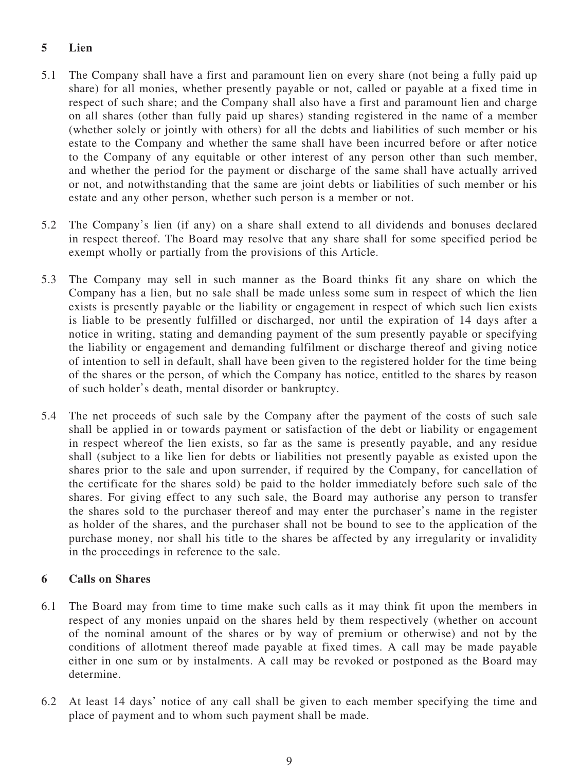## **5 Lien**

- 5.1 The Company shall have a first and paramount lien on every share (not being a fully paid up share) for all monies, whether presently payable or not, called or payable at a fixed time in respect of such share; and the Company shall also have a first and paramount lien and charge on all shares (other than fully paid up shares) standing registered in the name of a member (whether solely or jointly with others) for all the debts and liabilities of such member or his estate to the Company and whether the same shall have been incurred before or after notice to the Company of any equitable or other interest of any person other than such member, and whether the period for the payment or discharge of the same shall have actually arrived or not, and notwithstanding that the same are joint debts or liabilities of such member or his estate and any other person, whether such person is a member or not.
- 5.2 The Company's lien (if any) on a share shall extend to all dividends and bonuses declared in respect thereof. The Board may resolve that any share shall for some specified period be exempt wholly or partially from the provisions of this Article.
- 5.3 The Company may sell in such manner as the Board thinks fit any share on which the Company has a lien, but no sale shall be made unless some sum in respect of which the lien exists is presently payable or the liability or engagement in respect of which such lien exists is liable to be presently fulfilled or discharged, nor until the expiration of 14 days after a notice in writing, stating and demanding payment of the sum presently payable or specifying the liability or engagement and demanding fulfilment or discharge thereof and giving notice of intention to sell in default, shall have been given to the registered holder for the time being of the shares or the person, of which the Company has notice, entitled to the shares by reason of such holder's death, mental disorder or bankruptcy.
- 5.4 The net proceeds of such sale by the Company after the payment of the costs of such sale shall be applied in or towards payment or satisfaction of the debt or liability or engagement in respect whereof the lien exists, so far as the same is presently payable, and any residue shall (subject to a like lien for debts or liabilities not presently payable as existed upon the shares prior to the sale and upon surrender, if required by the Company, for cancellation of the certificate for the shares sold) be paid to the holder immediately before such sale of the shares. For giving effect to any such sale, the Board may authorise any person to transfer the shares sold to the purchaser thereof and may enter the purchaser's name in the register as holder of the shares, and the purchaser shall not be bound to see to the application of the purchase money, nor shall his title to the shares be affected by any irregularity or invalidity in the proceedings in reference to the sale.

## **6 Calls on Shares**

- 6.1 The Board may from time to time make such calls as it may think fit upon the members in respect of any monies unpaid on the shares held by them respectively (whether on account of the nominal amount of the shares or by way of premium or otherwise) and not by the conditions of allotment thereof made payable at fixed times. A call may be made payable either in one sum or by instalments. A call may be revoked or postponed as the Board may determine.
- <span id="page-13-0"></span>6.2 At least 14 days' notice of any call shall be given to each member specifying the time and place of payment and to whom such payment shall be made.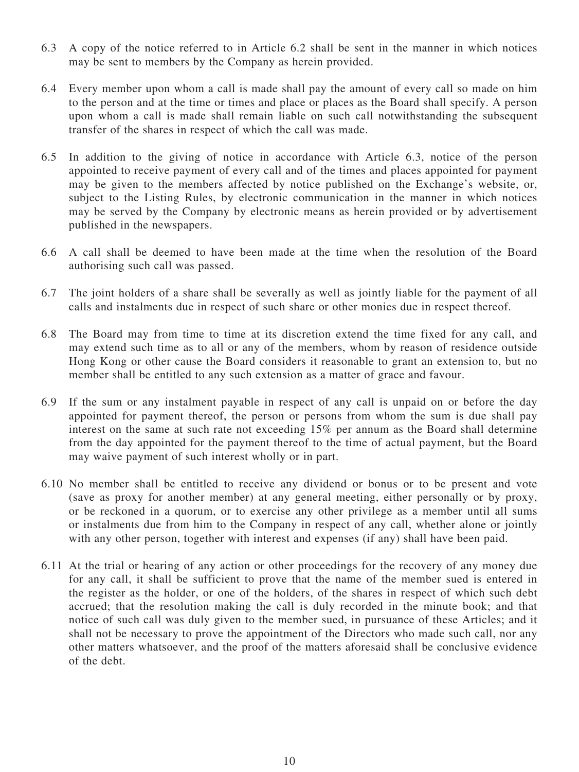- <span id="page-14-0"></span>6.3 A copy of the notice referred to in Article [6.2](#page-13-0) shall be sent in the manner in which notices may be sent to members by the Company as herein provided.
- 6.4 Every member upon whom a call is made shall pay the amount of every call so made on him to the person and at the time or times and place or places as the Board shall specify. A person upon whom a call is made shall remain liable on such call notwithstanding the subsequent transfer of the shares in respect of which the call was made.
- 6.5 In addition to the giving of notice in accordance with Article [6.3](#page-14-0), notice of the person appointed to receive payment of every call and of the times and places appointed for payment may be given to the members affected by notice published on the Exchange's website, or, subject to the Listing Rules, by electronic communication in the manner in which notices may be served by the Company by electronic means as herein provided or by advertisement published in the newspapers.
- 6.6 A call shall be deemed to have been made at the time when the resolution of the Board authorising such call was passed.
- 6.7 The joint holders of a share shall be severally as well as jointly liable for the payment of all calls and instalments due in respect of such share or other monies due in respect thereof.
- 6.8 The Board may from time to time at its discretion extend the time fixed for any call, and may extend such time as to all or any of the members, whom by reason of residence outside Hong Kong or other cause the Board considers it reasonable to grant an extension to, but no member shall be entitled to any such extension as a matter of grace and favour.
- 6.9 If the sum or any instalment payable in respect of any call is unpaid on or before the day appointed for payment thereof, the person or persons from whom the sum is due shall pay interest on the same at such rate not exceeding 15% per annum as the Board shall determine from the day appointed for the payment thereof to the time of actual payment, but the Board may waive payment of such interest wholly or in part.
- <span id="page-14-1"></span>6.10 No member shall be entitled to receive any dividend or bonus or to be present and vote (save as proxy for another member) at any general meeting, either personally or by proxy, or be reckoned in a quorum, or to exercise any other privilege as a member until all sums or instalments due from him to the Company in respect of any call, whether alone or jointly with any other person, together with interest and expenses (if any) shall have been paid.
- 6.11 At the trial or hearing of any action or other proceedings for the recovery of any money due for any call, it shall be sufficient to prove that the name of the member sued is entered in the register as the holder, or one of the holders, of the shares in respect of which such debt accrued; that the resolution making the call is duly recorded in the minute book; and that notice of such call was duly given to the member sued, in pursuance of these Articles; and it shall not be necessary to prove the appointment of the Directors who made such call, nor any other matters whatsoever, and the proof of the matters aforesaid shall be conclusive evidence of the debt.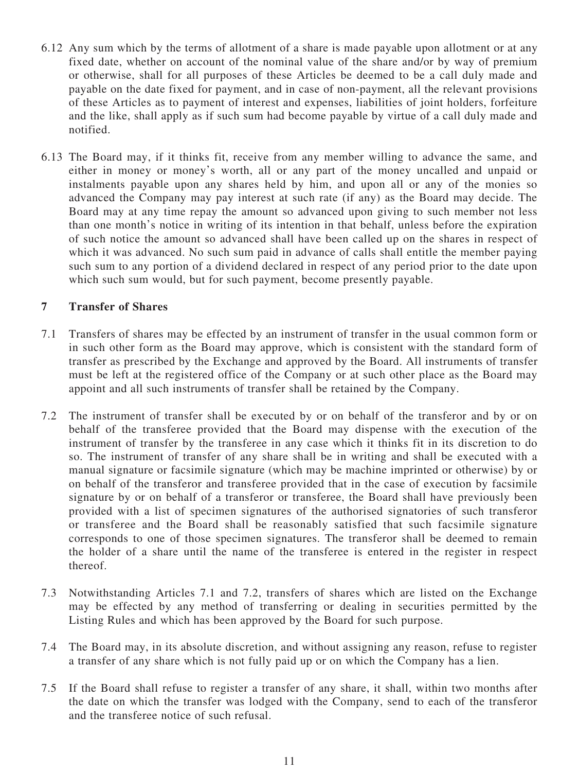- 6.12 Any sum which by the terms of allotment of a share is made payable upon allotment or at any fixed date, whether on account of the nominal value of the share and/or by way of premium or otherwise, shall for all purposes of these Articles be deemed to be a call duly made and payable on the date fixed for payment, and in case of non-payment, all the relevant provisions of these Articles as to payment of interest and expenses, liabilities of joint holders, forfeiture and the like, shall apply as if such sum had become payable by virtue of a call duly made and notified.
- 6.13 The Board may, if it thinks fit, receive from any member willing to advance the same, and either in money or money's worth, all or any part of the money uncalled and unpaid or instalments payable upon any shares held by him, and upon all or any of the monies so advanced the Company may pay interest at such rate (if any) as the Board may decide. The Board may at any time repay the amount so advanced upon giving to such member not less than one month's notice in writing of its intention in that behalf, unless before the expiration of such notice the amount so advanced shall have been called up on the shares in respect of which it was advanced. No such sum paid in advance of calls shall entitle the member paying such sum to any portion of a dividend declared in respect of any period prior to the date upon which such sum would, but for such payment, become presently payable.

## **7 Transfer of Shares**

- <span id="page-15-0"></span>7.1 Transfers of shares may be effected by an instrument of transfer in the usual common form or in such other form as the Board may approve, which is consistent with the standard form of transfer as prescribed by the Exchange and approved by the Board. All instruments of transfer must be left at the registered office of the Company or at such other place as the Board may appoint and all such instruments of transfer shall be retained by the Company.
- <span id="page-15-1"></span>7.2 The instrument of transfer shall be executed by or on behalf of the transferor and by or on behalf of the transferee provided that the Board may dispense with the execution of the instrument of transfer by the transferee in any case which it thinks fit in its discretion to do so. The instrument of transfer of any share shall be in writing and shall be executed with a manual signature or facsimile signature (which may be machine imprinted or otherwise) by or on behalf of the transferor and transferee provided that in the case of execution by facsimile signature by or on behalf of a transferor or transferee, the Board shall have previously been provided with a list of specimen signatures of the authorised signatories of such transferor or transferee and the Board shall be reasonably satisfied that such facsimile signature corresponds to one of those specimen signatures. The transferor shall be deemed to remain the holder of a share until the name of the transferee is entered in the register in respect thereof.
- 7.3 Notwithstanding Articles [7.1](#page-15-0) and [7.2,](#page-15-1) transfers of shares which are listed on the Exchange may be effected by any method of transferring or dealing in securities permitted by the Listing Rules and which has been approved by the Board for such purpose.
- 7.4 The Board may, in its absolute discretion, and without assigning any reason, refuse to register a transfer of any share which is not fully paid up or on which the Company has a lien.
- 7.5 If the Board shall refuse to register a transfer of any share, it shall, within two months after the date on which the transfer was lodged with the Company, send to each of the transferor and the transferee notice of such refusal.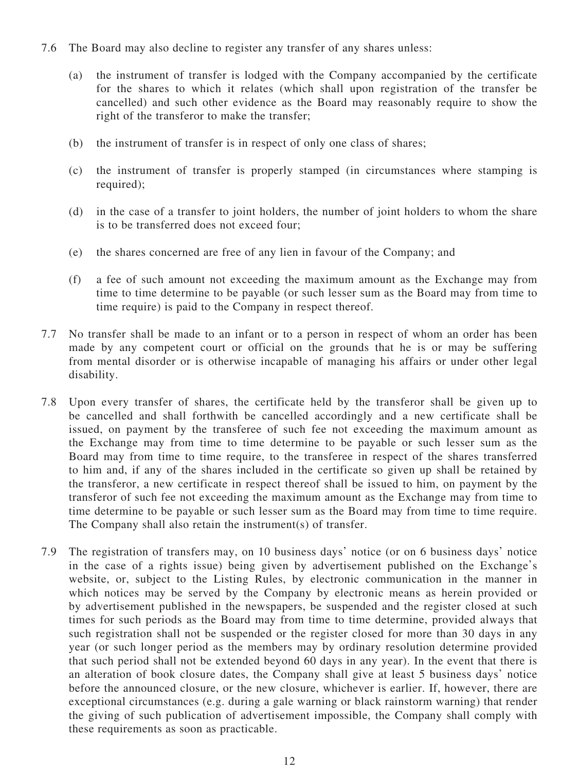- 7.6 The Board may also decline to register any transfer of any shares unless:
	- (a) the instrument of transfer is lodged with the Company accompanied by the certificate for the shares to which it relates (which shall upon registration of the transfer be cancelled) and such other evidence as the Board may reasonably require to show the right of the transferor to make the transfer;
	- (b) the instrument of transfer is in respect of only one class of shares;
	- (c) the instrument of transfer is properly stamped (in circumstances where stamping is required);
	- (d) in the case of a transfer to joint holders, the number of joint holders to whom the share is to be transferred does not exceed four;
	- (e) the shares concerned are free of any lien in favour of the Company; and
	- (f) a fee of such amount not exceeding the maximum amount as the Exchange may from time to time determine to be payable (or such lesser sum as the Board may from time to time require) is paid to the Company in respect thereof.
- 7.7 No transfer shall be made to an infant or to a person in respect of whom an order has been made by any competent court or official on the grounds that he is or may be suffering from mental disorder or is otherwise incapable of managing his affairs or under other legal disability.
- 7.8 Upon every transfer of shares, the certificate held by the transferor shall be given up to be cancelled and shall forthwith be cancelled accordingly and a new certificate shall be issued, on payment by the transferee of such fee not exceeding the maximum amount as the Exchange may from time to time determine to be payable or such lesser sum as the Board may from time to time require, to the transferee in respect of the shares transferred to him and, if any of the shares included in the certificate so given up shall be retained by the transferor, a new certificate in respect thereof shall be issued to him, on payment by the transferor of such fee not exceeding the maximum amount as the Exchange may from time to time determine to be payable or such lesser sum as the Board may from time to time require. The Company shall also retain the instrument(s) of transfer.
- 7.9 The registration of transfers may, on 10 business days' notice (or on 6 business days' notice in the case of a rights issue) being given by advertisement published on the Exchange's website, or, subject to the Listing Rules, by electronic communication in the manner in which notices may be served by the Company by electronic means as herein provided or by advertisement published in the newspapers, be suspended and the register closed at such times for such periods as the Board may from time to time determine, provided always that such registration shall not be suspended or the register closed for more than 30 days in any year (or such longer period as the members may by ordinary resolution determine provided that such period shall not be extended beyond 60 days in any year). In the event that there is an alteration of book closure dates, the Company shall give at least 5 business days' notice before the announced closure, or the new closure, whichever is earlier. If, however, there are exceptional circumstances (e.g. during a gale warning or black rainstorm warning) that render the giving of such publication of advertisement impossible, the Company shall comply with these requirements as soon as practicable.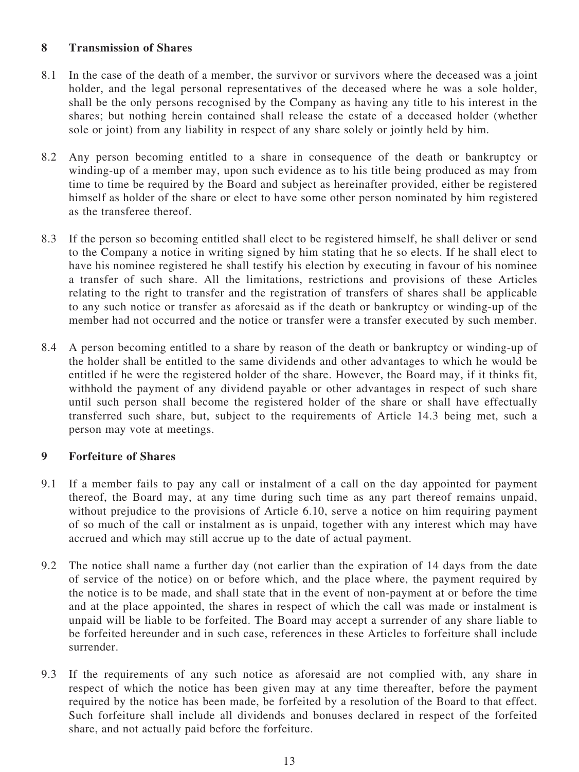## **8 Transmission of Shares**

- 8.1 In the case of the death of a member, the survivor or survivors where the deceased was a joint holder, and the legal personal representatives of the deceased where he was a sole holder, shall be the only persons recognised by the Company as having any title to his interest in the shares; but nothing herein contained shall release the estate of a deceased holder (whether sole or joint) from any liability in respect of any share solely or jointly held by him.
- 8.2 Any person becoming entitled to a share in consequence of the death or bankruptcy or winding-up of a member may, upon such evidence as to his title being produced as may from time to time be required by the Board and subject as hereinafter provided, either be registered himself as holder of the share or elect to have some other person nominated by him registered as the transferee thereof.
- 8.3 If the person so becoming entitled shall elect to be registered himself, he shall deliver or send to the Company a notice in writing signed by him stating that he so elects. If he shall elect to have his nominee registered he shall testify his election by executing in favour of his nominee a transfer of such share. All the limitations, restrictions and provisions of these Articles relating to the right to transfer and the registration of transfers of shares shall be applicable to any such notice or transfer as aforesaid as if the death or bankruptcy or winding-up of the member had not occurred and the notice or transfer were a transfer executed by such member.
- 8.4 A person becoming entitled to a share by reason of the death or bankruptcy or winding-up of the holder shall be entitled to the same dividends and other advantages to which he would be entitled if he were the registered holder of the share. However, the Board may, if it thinks fit, withhold the payment of any dividend payable or other advantages in respect of such share until such person shall become the registered holder of the share or shall have effectually transferred such share, but, subject to the requirements of Article 14.3 being met, such a person may vote at meetings.

## **9 Forfeiture of Shares**

- 9.1 If a member fails to pay any call or instalment of a call on the day appointed for payment thereof, the Board may, at any time during such time as any part thereof remains unpaid, without prejudice to the provisions of Article [6.10,](#page-14-1) serve a notice on him requiring payment of so much of the call or instalment as is unpaid, together with any interest which may have accrued and which may still accrue up to the date of actual payment.
- 9.2 The notice shall name a further day (not earlier than the expiration of 14 days from the date of service of the notice) on or before which, and the place where, the payment required by the notice is to be made, and shall state that in the event of non-payment at or before the time and at the place appointed, the shares in respect of which the call was made or instalment is unpaid will be liable to be forfeited. The Board may accept a surrender of any share liable to be forfeited hereunder and in such case, references in these Articles to forfeiture shall include surrender.
- 9.3 If the requirements of any such notice as aforesaid are not complied with, any share in respect of which the notice has been given may at any time thereafter, before the payment required by the notice has been made, be forfeited by a resolution of the Board to that effect. Such forfeiture shall include all dividends and bonuses declared in respect of the forfeited share, and not actually paid before the forfeiture.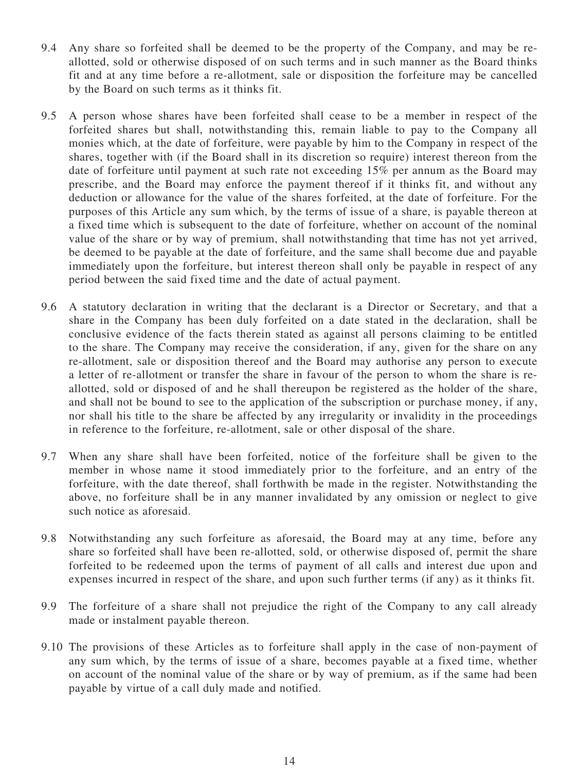- 9.4 Any share so forfeited shall be deemed to be the property of the Company, and may be reallotted, sold or otherwise disposed of on such terms and in such manner as the Board thinks fit and at any time before a re-allotment, sale or disposition the forfeiture may be cancelled by the Board on such terms as it thinks fit.
- 9.5 A person whose shares have been forfeited shall cease to be a member in respect of the forfeited shares but shall, notwithstanding this, remain liable to pay to the Company all monies which, at the date of forfeiture, were payable by him to the Company in respect of the shares, together with (if the Board shall in its discretion so require) interest thereon from the date of forfeiture until payment at such rate not exceeding 15% per annum as the Board may prescribe, and the Board may enforce the payment thereof if it thinks fit, and without any deduction or allowance for the value of the shares forfeited, at the date of forfeiture. For the purposes of this Article any sum which, by the terms of issue of a share, is payable thereon at a fixed time which is subsequent to the date of forfeiture, whether on account of the nominal value of the share or by way of premium, shall notwithstanding that time has not yet arrived, be deemed to be payable at the date of forfeiture, and the same shall become due and payable immediately upon the forfeiture, but interest thereon shall only be payable in respect of any period between the said fixed time and the date of actual payment.
- 9.6 A statutory declaration in writing that the declarant is a Director or Secretary, and that a share in the Company has been duly forfeited on a date stated in the declaration, shall be conclusive evidence of the facts therein stated as against all persons claiming to be entitled to the share. The Company may receive the consideration, if any, given for the share on any re-allotment, sale or disposition thereof and the Board may authorise any person to execute a letter of re-allotment or transfer the share in favour of the person to whom the share is reallotted, sold or disposed of and he shall thereupon be registered as the holder of the share, and shall not be bound to see to the application of the subscription or purchase money, if any, nor shall his title to the share be affected by any irregularity or invalidity in the proceedings in reference to the forfeiture, re-allotment, sale or other disposal of the share.
- 9.7 When any share shall have been forfeited, notice of the forfeiture shall be given to the member in whose name it stood immediately prior to the forfeiture, and an entry of the forfeiture, with the date thereof, shall forthwith be made in the register. Notwithstanding the above, no forfeiture shall be in any manner invalidated by any omission or neglect to give such notice as aforesaid.
- 9.8 Notwithstanding any such forfeiture as aforesaid, the Board may at any time, before any share so forfeited shall have been re-allotted, sold, or otherwise disposed of, permit the share forfeited to be redeemed upon the terms of payment of all calls and interest due upon and expenses incurred in respect of the share, and upon such further terms (if any) as it thinks fit.
- 9.9 The forfeiture of a share shall not prejudice the right of the Company to any call already made or instalment payable thereon.
- 9.10 The provisions of these Articles as to forfeiture shall apply in the case of non-payment of any sum which, by the terms of issue of a share, becomes payable at a fixed time, whether on account of the nominal value of the share or by way of premium, as if the same had been payable by virtue of a call duly made and notified.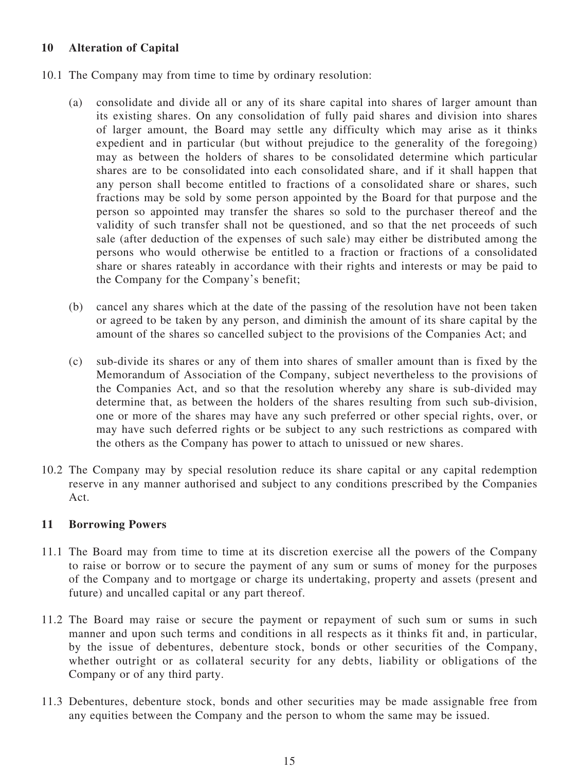## **10 Alteration of Capital**

- 10.1 The Company may from time to time by ordinary resolution:
	- (a) consolidate and divide all or any of its share capital into shares of larger amount than its existing shares. On any consolidation of fully paid shares and division into shares of larger amount, the Board may settle any difficulty which may arise as it thinks expedient and in particular (but without prejudice to the generality of the foregoing) may as between the holders of shares to be consolidated determine which particular shares are to be consolidated into each consolidated share, and if it shall happen that any person shall become entitled to fractions of a consolidated share or shares, such fractions may be sold by some person appointed by the Board for that purpose and the person so appointed may transfer the shares so sold to the purchaser thereof and the validity of such transfer shall not be questioned, and so that the net proceeds of such sale (after deduction of the expenses of such sale) may either be distributed among the persons who would otherwise be entitled to a fraction or fractions of a consolidated share or shares rateably in accordance with their rights and interests or may be paid to the Company for the Company's benefit;
	- (b) cancel any shares which at the date of the passing of the resolution have not been taken or agreed to be taken by any person, and diminish the amount of its share capital by the amount of the shares so cancelled subject to the provisions of the Companies Act; and
	- (c) sub-divide its shares or any of them into shares of smaller amount than is fixed by the Memorandum of Association of the Company, subject nevertheless to the provisions of the Companies Act, and so that the resolution whereby any share is sub-divided may determine that, as between the holders of the shares resulting from such sub-division, one or more of the shares may have any such preferred or other special rights, over, or may have such deferred rights or be subject to any such restrictions as compared with the others as the Company has power to attach to unissued or new shares.
- 10.2 The Company may by special resolution reduce its share capital or any capital redemption reserve in any manner authorised and subject to any conditions prescribed by the Companies Act.

## **11 Borrowing Powers**

- 11.1 The Board may from time to time at its discretion exercise all the powers of the Company to raise or borrow or to secure the payment of any sum or sums of money for the purposes of the Company and to mortgage or charge its undertaking, property and assets (present and future) and uncalled capital or any part thereof.
- 11.2 The Board may raise or secure the payment or repayment of such sum or sums in such manner and upon such terms and conditions in all respects as it thinks fit and, in particular, by the issue of debentures, debenture stock, bonds or other securities of the Company, whether outright or as collateral security for any debts, liability or obligations of the Company or of any third party.
- 11.3 Debentures, debenture stock, bonds and other securities may be made assignable free from any equities between the Company and the person to whom the same may be issued.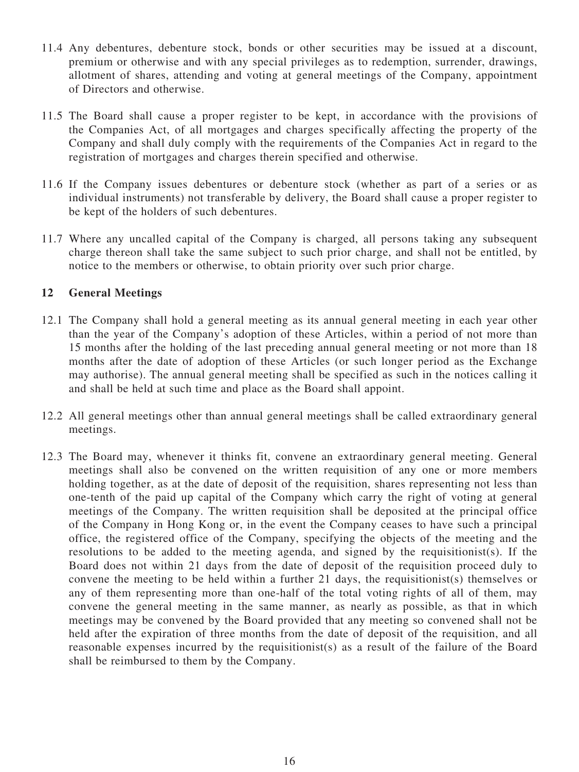- 11.4 Any debentures, debenture stock, bonds or other securities may be issued at a discount, premium or otherwise and with any special privileges as to redemption, surrender, drawings, allotment of shares, attending and voting at general meetings of the Company, appointment of Directors and otherwise.
- 11.5 The Board shall cause a proper register to be kept, in accordance with the provisions of the Companies Act, of all mortgages and charges specifically affecting the property of the Company and shall duly comply with the requirements of the Companies Act in regard to the registration of mortgages and charges therein specified and otherwise.
- 11.6 If the Company issues debentures or debenture stock (whether as part of a series or as individual instruments) not transferable by delivery, the Board shall cause a proper register to be kept of the holders of such debentures.
- 11.7 Where any uncalled capital of the Company is charged, all persons taking any subsequent charge thereon shall take the same subject to such prior charge, and shall not be entitled, by notice to the members or otherwise, to obtain priority over such prior charge.

## **12 General Meetings**

- 12.1 The Company shall hold a general meeting as its annual general meeting in each year other than the year of the Company's adoption of these Articles, within a period of not more than 15 months after the holding of the last preceding annual general meeting or not more than 18 months after the date of adoption of these Articles (or such longer period as the Exchange may authorise). The annual general meeting shall be specified as such in the notices calling it and shall be held at such time and place as the Board shall appoint.
- 12.2 All general meetings other than annual general meetings shall be called extraordinary general meetings.
- 12.3 The Board may, whenever it thinks fit, convene an extraordinary general meeting. General meetings shall also be convened on the written requisition of any one or more members holding together, as at the date of deposit of the requisition, shares representing not less than one-tenth of the paid up capital of the Company which carry the right of voting at general meetings of the Company. The written requisition shall be deposited at the principal office of the Company in Hong Kong or, in the event the Company ceases to have such a principal office, the registered office of the Company, specifying the objects of the meeting and the resolutions to be added to the meeting agenda, and signed by the requisitionist(s). If the Board does not within 21 days from the date of deposit of the requisition proceed duly to convene the meeting to be held within a further 21 days, the requisitionist(s) themselves or any of them representing more than one-half of the total voting rights of all of them, may convene the general meeting in the same manner, as nearly as possible, as that in which meetings may be convened by the Board provided that any meeting so convened shall not be held after the expiration of three months from the date of deposit of the requisition, and all reasonable expenses incurred by the requisitionist(s) as a result of the failure of the Board shall be reimbursed to them by the Company.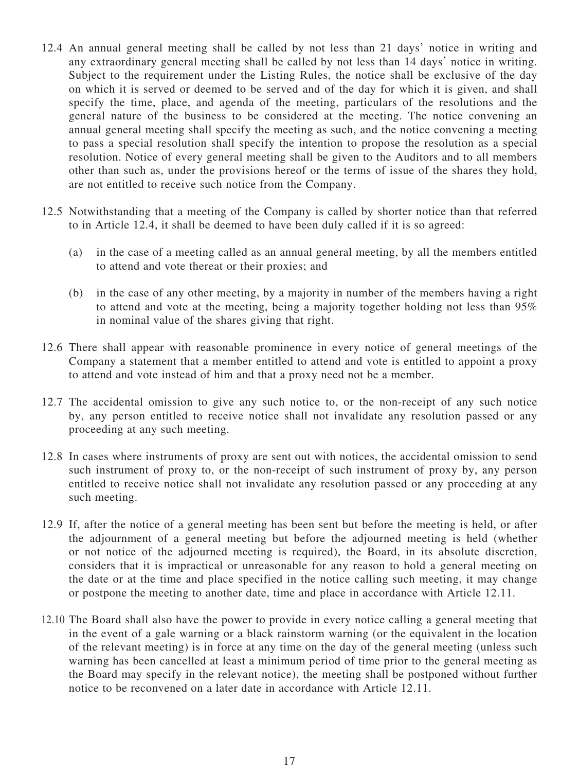- <span id="page-21-0"></span>12.4 An annual general meeting shall be called by not less than 21 days' notice in writing and any extraordinary general meeting shall be called by not less than 14 days' notice in writing. Subject to the requirement under the Listing Rules, the notice shall be exclusive of the day on which it is served or deemed to be served and of the day for which it is given, and shall specify the time, place, and agenda of the meeting, particulars of the resolutions and the general nature of the business to be considered at the meeting. The notice convening an annual general meeting shall specify the meeting as such, and the notice convening a meeting to pass a special resolution shall specify the intention to propose the resolution as a special resolution. Notice of every general meeting shall be given to the Auditors and to all members other than such as, under the provisions hereof or the terms of issue of the shares they hold, are not entitled to receive such notice from the Company.
- 12.5 Notwithstanding that a meeting of the Company is called by shorter notice than that referred to in Article [12.4](#page-21-0), it shall be deemed to have been duly called if it is so agreed:
	- (a) in the case of a meeting called as an annual general meeting, by all the members entitled to attend and vote thereat or their proxies; and
	- (b) in the case of any other meeting, by a majority in number of the members having a right to attend and vote at the meeting, being a majority together holding not less than 95% in nominal value of the shares giving that right.
- 12.6 There shall appear with reasonable prominence in every notice of general meetings of the Company a statement that a member entitled to attend and vote is entitled to appoint a proxy to attend and vote instead of him and that a proxy need not be a member.
- 12.7 The accidental omission to give any such notice to, or the non-receipt of any such notice by, any person entitled to receive notice shall not invalidate any resolution passed or any proceeding at any such meeting.
- 12.8 In cases where instruments of proxy are sent out with notices, the accidental omission to send such instrument of proxy to, or the non-receipt of such instrument of proxy by, any person entitled to receive notice shall not invalidate any resolution passed or any proceeding at any such meeting.
- <span id="page-21-1"></span>12.9 If, after the notice of a general meeting has been sent but before the meeting is held, or after the adjournment of a general meeting but before the adjourned meeting is held (whether or not notice of the adjourned meeting is required), the Board, in its absolute discretion, considers that it is impractical or unreasonable for any reason to hold a general meeting on the date or at the time and place specified in the notice calling such meeting, it may change or postpone the meeting to another date, time and place in accordance with Article [12.11](#page-22-0).
- <span id="page-21-2"></span>12.10 The Board shall also have the power to provide in every notice calling a general meeting that in the event of a gale warning or a black rainstorm warning (or the equivalent in the location of the relevant meeting) is in force at any time on the day of the general meeting (unless such warning has been cancelled at least a minimum period of time prior to the general meeting as the Board may specify in the relevant notice), the meeting shall be postponed without further notice to be reconvened on a later date in accordance with Article [12.11.](#page-22-0)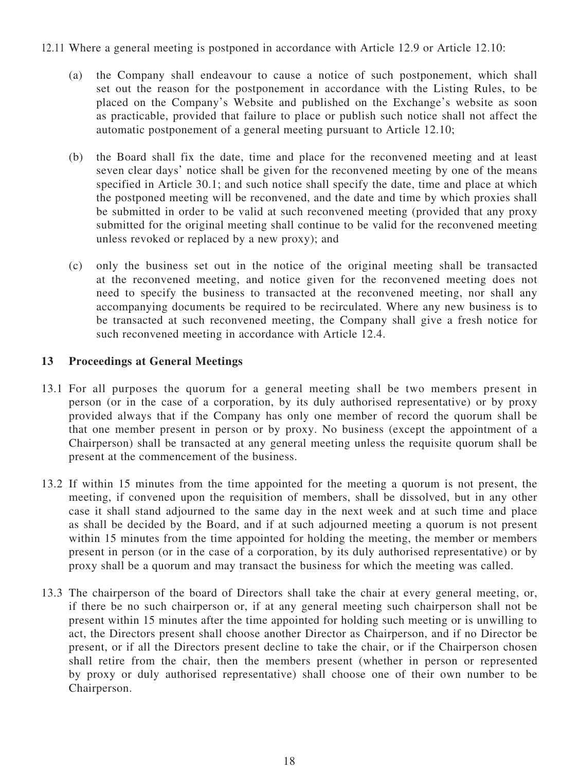#### <span id="page-22-0"></span>12.11 Where a general meeting is postponed in accordance with Article [12.9](#page-21-1) or Article [12.10](#page-21-2):

- (a) the Company shall endeavour to cause a notice of such postponement, which shall set out the reason for the postponement in accordance with the Listing Rules, to be placed on the Company's Website and published on the Exchange's website as soon as practicable, provided that failure to place or publish such notice shall not affect the automatic postponement of a general meeting pursuant to Article [12.10;](#page-21-2)
- (b) the Board shall fix the date, time and place for the reconvened meeting and at least seven clear days' notice shall be given for the reconvened meeting by one of the means specified in Article 30.1; and such notice shall specify the date, time and place at which the postponed meeting will be reconvened, and the date and time by which proxies shall be submitted in order to be valid at such reconvened meeting (provided that any proxy submitted for the original meeting shall continue to be valid for the reconvened meeting unless revoked or replaced by a new proxy); and
- (c) only the business set out in the notice of the original meeting shall be transacted at the reconvened meeting, and notice given for the reconvened meeting does not need to specify the business to transacted at the reconvened meeting, nor shall any accompanying documents be required to be recirculated. Where any new business is to be transacted at such reconvened meeting, the Company shall give a fresh notice for such reconvened meeting in accordance with Article [12.4.](#page-21-0)

## **13 Proceedings at General Meetings**

- 13.1 For all purposes the quorum for a general meeting shall be two members present in person (or in the case of a corporation, by its duly authorised representative) or by proxy provided always that if the Company has only one member of record the quorum shall be that one member present in person or by proxy. No business (except the appointment of a Chairperson) shall be transacted at any general meeting unless the requisite quorum shall be present at the commencement of the business.
- 13.2 If within 15 minutes from the time appointed for the meeting a quorum is not present, the meeting, if convened upon the requisition of members, shall be dissolved, but in any other case it shall stand adjourned to the same day in the next week and at such time and place as shall be decided by the Board, and if at such adjourned meeting a quorum is not present within 15 minutes from the time appointed for holding the meeting, the member or members present in person (or in the case of a corporation, by its duly authorised representative) or by proxy shall be a quorum and may transact the business for which the meeting was called.
- 13.3 The chairperson of the board of Directors shall take the chair at every general meeting, or, if there be no such chairperson or, if at any general meeting such chairperson shall not be present within 15 minutes after the time appointed for holding such meeting or is unwilling to act, the Directors present shall choose another Director as Chairperson, and if no Director be present, or if all the Directors present decline to take the chair, or if the Chairperson chosen shall retire from the chair, then the members present (whether in person or represented by proxy or duly authorised representative) shall choose one of their own number to be Chairperson.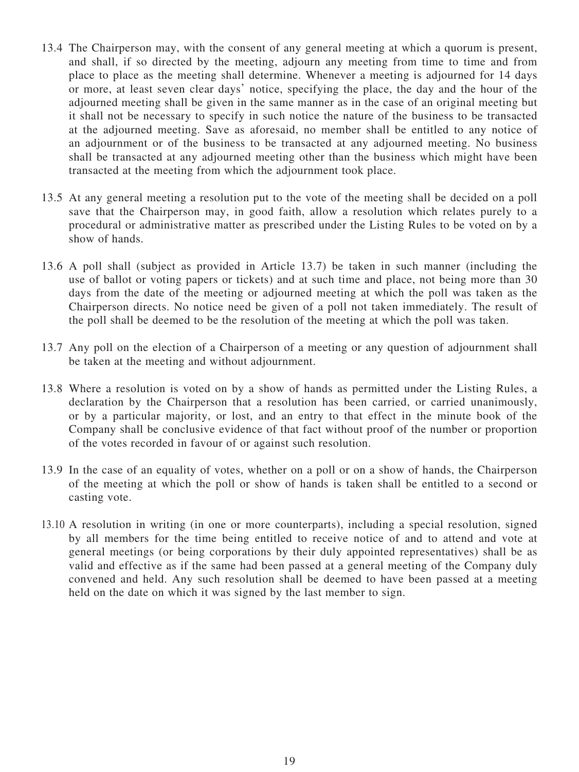- 13.4 The Chairperson may, with the consent of any general meeting at which a quorum is present, and shall, if so directed by the meeting, adjourn any meeting from time to time and from place to place as the meeting shall determine. Whenever a meeting is adjourned for 14 days or more, at least seven clear days' notice, specifying the place, the day and the hour of the adjourned meeting shall be given in the same manner as in the case of an original meeting but it shall not be necessary to specify in such notice the nature of the business to be transacted at the adjourned meeting. Save as aforesaid, no member shall be entitled to any notice of an adjournment or of the business to be transacted at any adjourned meeting. No business shall be transacted at any adjourned meeting other than the business which might have been transacted at the meeting from which the adjournment took place.
- 13.5 At any general meeting a resolution put to the vote of the meeting shall be decided on a poll save that the Chairperson may, in good faith, allow a resolution which relates purely to a procedural or administrative matter as prescribed under the Listing Rules to be voted on by a show of hands.
- 13.6 A poll shall (subject as provided in Article [13.7\)](#page-23-0) be taken in such manner (including the use of ballot or voting papers or tickets) and at such time and place, not being more than 30 days from the date of the meeting or adjourned meeting at which the poll was taken as the Chairperson directs. No notice need be given of a poll not taken immediately. The result of the poll shall be deemed to be the resolution of the meeting at which the poll was taken.
- <span id="page-23-0"></span>13.7 Any poll on the election of a Chairperson of a meeting or any question of adjournment shall be taken at the meeting and without adjournment.
- 13.8 Where a resolution is voted on by a show of hands as permitted under the Listing Rules, a declaration by the Chairperson that a resolution has been carried, or carried unanimously, or by a particular majority, or lost, and an entry to that effect in the minute book of the Company shall be conclusive evidence of that fact without proof of the number or proportion of the votes recorded in favour of or against such resolution.
- 13.9 In the case of an equality of votes, whether on a poll or on a show of hands, the Chairperson of the meeting at which the poll or show of hands is taken shall be entitled to a second or casting vote.
- 13.10 A resolution in writing (in one or more counterparts), including a special resolution, signed by all members for the time being entitled to receive notice of and to attend and vote at general meetings (or being corporations by their duly appointed representatives) shall be as valid and effective as if the same had been passed at a general meeting of the Company duly convened and held. Any such resolution shall be deemed to have been passed at a meeting held on the date on which it was signed by the last member to sign.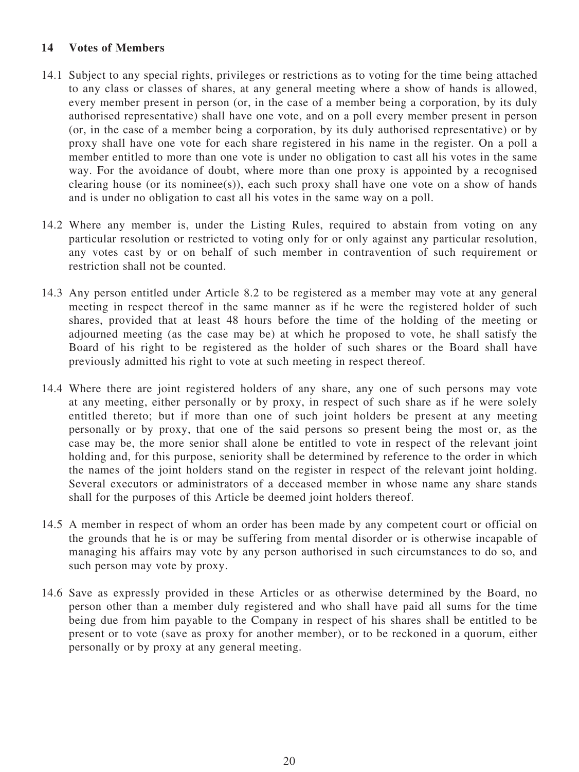### **14 Votes of Members**

- 14.1 Subject to any special rights, privileges or restrictions as to voting for the time being attached to any class or classes of shares, at any general meeting where a show of hands is allowed, every member present in person (or, in the case of a member being a corporation, by its duly authorised representative) shall have one vote, and on a poll every member present in person (or, in the case of a member being a corporation, by its duly authorised representative) or by proxy shall have one vote for each share registered in his name in the register. On a poll a member entitled to more than one vote is under no obligation to cast all his votes in the same way. For the avoidance of doubt, where more than one proxy is appointed by a recognised clearing house (or its nominee(s)), each such proxy shall have one vote on a show of hands and is under no obligation to cast all his votes in the same way on a poll.
- 14.2 Where any member is, under the Listing Rules, required to abstain from voting on any particular resolution or restricted to voting only for or only against any particular resolution, any votes cast by or on behalf of such member in contravention of such requirement or restriction shall not be counted.
- 14.3 Any person entitled under Article 8.2 to be registered as a member may vote at any general meeting in respect thereof in the same manner as if he were the registered holder of such shares, provided that at least 48 hours before the time of the holding of the meeting or adjourned meeting (as the case may be) at which he proposed to vote, he shall satisfy the Board of his right to be registered as the holder of such shares or the Board shall have previously admitted his right to vote at such meeting in respect thereof.
- 14.4 Where there are joint registered holders of any share, any one of such persons may vote at any meeting, either personally or by proxy, in respect of such share as if he were solely entitled thereto; but if more than one of such joint holders be present at any meeting personally or by proxy, that one of the said persons so present being the most or, as the case may be, the more senior shall alone be entitled to vote in respect of the relevant joint holding and, for this purpose, seniority shall be determined by reference to the order in which the names of the joint holders stand on the register in respect of the relevant joint holding. Several executors or administrators of a deceased member in whose name any share stands shall for the purposes of this Article be deemed joint holders thereof.
- 14.5 A member in respect of whom an order has been made by any competent court or official on the grounds that he is or may be suffering from mental disorder or is otherwise incapable of managing his affairs may vote by any person authorised in such circumstances to do so, and such person may vote by proxy.
- 14.6 Save as expressly provided in these Articles or as otherwise determined by the Board, no person other than a member duly registered and who shall have paid all sums for the time being due from him payable to the Company in respect of his shares shall be entitled to be present or to vote (save as proxy for another member), or to be reckoned in a quorum, either personally or by proxy at any general meeting.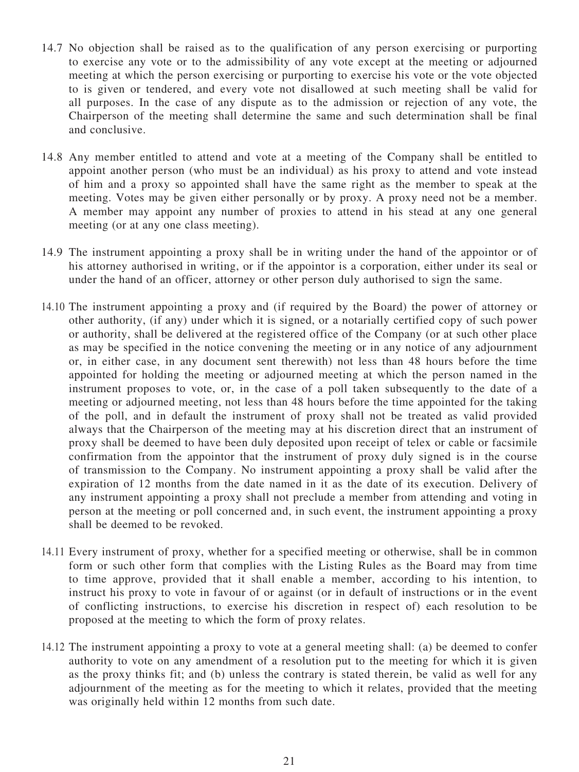- 14.7 No objection shall be raised as to the qualification of any person exercising or purporting to exercise any vote or to the admissibility of any vote except at the meeting or adjourned meeting at which the person exercising or purporting to exercise his vote or the vote objected to is given or tendered, and every vote not disallowed at such meeting shall be valid for all purposes. In the case of any dispute as to the admission or rejection of any vote, the Chairperson of the meeting shall determine the same and such determination shall be final and conclusive.
- <span id="page-25-1"></span>14.8 Any member entitled to attend and vote at a meeting of the Company shall be entitled to appoint another person (who must be an individual) as his proxy to attend and vote instead of him and a proxy so appointed shall have the same right as the member to speak at the meeting. Votes may be given either personally or by proxy. A proxy need not be a member. A member may appoint any number of proxies to attend in his stead at any one general meeting (or at any one class meeting).
- 14.9 The instrument appointing a proxy shall be in writing under the hand of the appointor or of his attorney authorised in writing, or if the appointor is a corporation, either under its seal or under the hand of an officer, attorney or other person duly authorised to sign the same.
- <span id="page-25-0"></span>14.10 The instrument appointing a proxy and (if required by the Board) the power of attorney or other authority, (if any) under which it is signed, or a notarially certified copy of such power or authority, shall be delivered at the registered office of the Company (or at such other place as may be specified in the notice convening the meeting or in any notice of any adjournment or, in either case, in any document sent therewith) not less than 48 hours before the time appointed for holding the meeting or adjourned meeting at which the person named in the instrument proposes to vote, or, in the case of a poll taken subsequently to the date of a meeting or adjourned meeting, not less than 48 hours before the time appointed for the taking of the poll, and in default the instrument of proxy shall not be treated as valid provided always that the Chairperson of the meeting may at his discretion direct that an instrument of proxy shall be deemed to have been duly deposited upon receipt of telex or cable or facsimile confirmation from the appointor that the instrument of proxy duly signed is in the course of transmission to the Company. No instrument appointing a proxy shall be valid after the expiration of 12 months from the date named in it as the date of its execution. Delivery of any instrument appointing a proxy shall not preclude a member from attending and voting in person at the meeting or poll concerned and, in such event, the instrument appointing a proxy shall be deemed to be revoked.
- 14.11 Every instrument of proxy, whether for a specified meeting or otherwise, shall be in common form or such other form that complies with the Listing Rules as the Board may from time to time approve, provided that it shall enable a member, according to his intention, to instruct his proxy to vote in favour of or against (or in default of instructions or in the event of conflicting instructions, to exercise his discretion in respect of) each resolution to be proposed at the meeting to which the form of proxy relates.
- 14.12 The instrument appointing a proxy to vote at a general meeting shall: (a) be deemed to confer authority to vote on any amendment of a resolution put to the meeting for which it is given as the proxy thinks fit; and (b) unless the contrary is stated therein, be valid as well for any adjournment of the meeting as for the meeting to which it relates, provided that the meeting was originally held within 12 months from such date.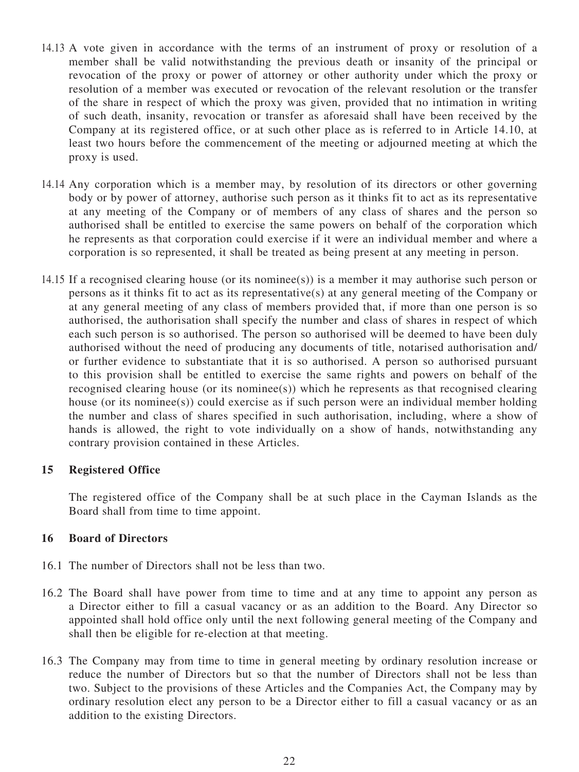- <span id="page-26-0"></span>14.13 A vote given in accordance with the terms of an instrument of proxy or resolution of a member shall be valid notwithstanding the previous death or insanity of the principal or revocation of the proxy or power of attorney or other authority under which the proxy or resolution of a member was executed or revocation of the relevant resolution or the transfer of the share in respect of which the proxy was given, provided that no intimation in writing of such death, insanity, revocation or transfer as aforesaid shall have been received by the Company at its registered office, or at such other place as is referred to in Article [14.10,](#page-25-0) at least two hours before the commencement of the meeting or adjourned meeting at which the proxy is used.
- 14.14 Any corporation which is a member may, by resolution of its directors or other governing body or by power of attorney, authorise such person as it thinks fit to act as its representative at any meeting of the Company or of members of any class of shares and the person so authorised shall be entitled to exercise the same powers on behalf of the corporation which he represents as that corporation could exercise if it were an individual member and where a corporation is so represented, it shall be treated as being present at any meeting in person.
- 14.15 If a recognised clearing house (or its nominee(s)) is a member it may authorise such person or persons as it thinks fit to act as its representative(s) at any general meeting of the Company or at any general meeting of any class of members provided that, if more than one person is so authorised, the authorisation shall specify the number and class of shares in respect of which each such person is so authorised. The person so authorised will be deemed to have been duly authorised without the need of producing any documents of title, notarised authorisation and/ or further evidence to substantiate that it is so authorised. A person so authorised pursuant to this provision shall be entitled to exercise the same rights and powers on behalf of the recognised clearing house (or its nominee(s)) which he represents as that recognised clearing house (or its nominee(s)) could exercise as if such person were an individual member holding the number and class of shares specified in such authorisation, including, where a show of hands is allowed, the right to vote individually on a show of hands, notwithstanding any contrary provision contained in these Articles.

#### **15 Registered Office**

The registered office of the Company shall be at such place in the Cayman Islands as the Board shall from time to time appoint.

#### **16 Board of Directors**

- 16.1 The number of Directors shall not be less than two.
- <span id="page-26-1"></span>16.2 The Board shall have power from time to time and at any time to appoint any person as a Director either to fill a casual vacancy or as an addition to the Board. Any Director so appointed shall hold office only until the next following general meeting of the Company and shall then be eligible for re-election at that meeting.
- 16.3 The Company may from time to time in general meeting by ordinary resolution increase or reduce the number of Directors but so that the number of Directors shall not be less than two. Subject to the provisions of these Articles and the Companies Act, the Company may by ordinary resolution elect any person to be a Director either to fill a casual vacancy or as an addition to the existing Directors.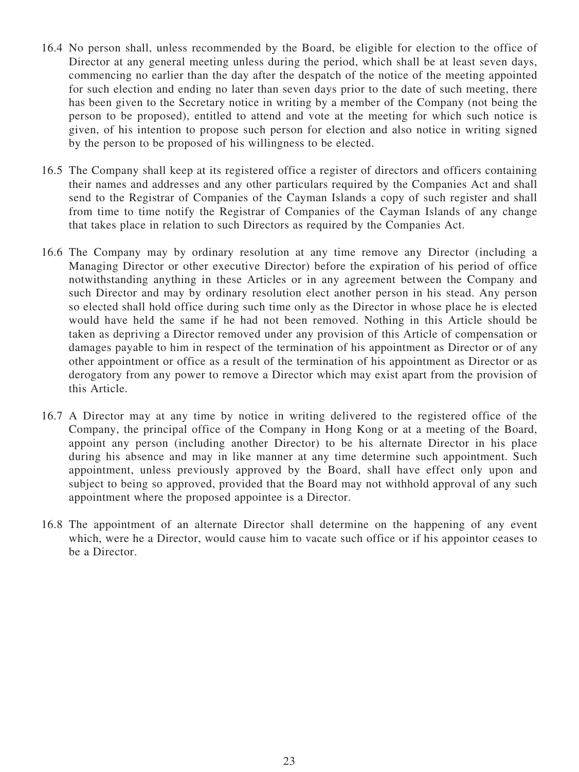- 16.4 No person shall, unless recommended by the Board, be eligible for election to the office of Director at any general meeting unless during the period, which shall be at least seven days, commencing no earlier than the day after the despatch of the notice of the meeting appointed for such election and ending no later than seven days prior to the date of such meeting, there has been given to the Secretary notice in writing by a member of the Company (not being the person to be proposed), entitled to attend and vote at the meeting for which such notice is given, of his intention to propose such person for election and also notice in writing signed by the person to be proposed of his willingness to be elected.
- 16.5 The Company shall keep at its registered office a register of directors and officers containing their names and addresses and any other particulars required by the Companies Act and shall send to the Registrar of Companies of the Cayman Islands a copy of such register and shall from time to time notify the Registrar of Companies of the Cayman Islands of any change that takes place in relation to such Directors as required by the Companies Act.
- <span id="page-27-1"></span>16.6 The Company may by ordinary resolution at any time remove any Director (including a Managing Director or other executive Director) before the expiration of his period of office notwithstanding anything in these Articles or in any agreement between the Company and such Director and may by ordinary resolution elect another person in his stead. Any person so elected shall hold office during such time only as the Director in whose place he is elected would have held the same if he had not been removed. Nothing in this Article should be taken as depriving a Director removed under any provision of this Article of compensation or damages payable to him in respect of the termination of his appointment as Director or of any other appointment or office as a result of the termination of his appointment as Director or as derogatory from any power to remove a Director which may exist apart from the provision of this Article.
- <span id="page-27-0"></span>16.7 A Director may at any time by notice in writing delivered to the registered office of the Company, the principal office of the Company in Hong Kong or at a meeting of the Board, appoint any person (including another Director) to be his alternate Director in his place during his absence and may in like manner at any time determine such appointment. Such appointment, unless previously approved by the Board, shall have effect only upon and subject to being so approved, provided that the Board may not withhold approval of any such appointment where the proposed appointee is a Director.
- 16.8 The appointment of an alternate Director shall determine on the happening of any event which, were he a Director, would cause him to vacate such office or if his appointor ceases to be a Director.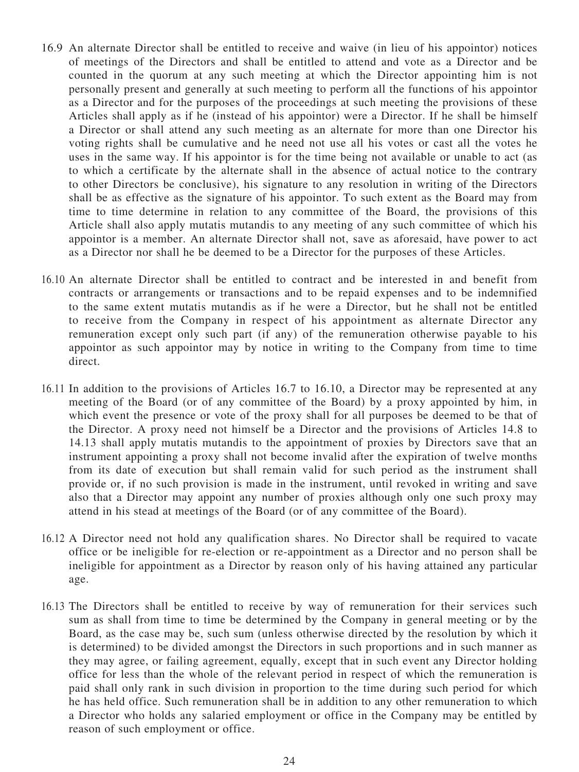- <span id="page-28-1"></span>16.9 An alternate Director shall be entitled to receive and waive (in lieu of his appointor) notices of meetings of the Directors and shall be entitled to attend and vote as a Director and be counted in the quorum at any such meeting at which the Director appointing him is not personally present and generally at such meeting to perform all the functions of his appointor as a Director and for the purposes of the proceedings at such meeting the provisions of these Articles shall apply as if he (instead of his appointor) were a Director. If he shall be himself a Director or shall attend any such meeting as an alternate for more than one Director his voting rights shall be cumulative and he need not use all his votes or cast all the votes he uses in the same way. If his appointor is for the time being not available or unable to act (as to which a certificate by the alternate shall in the absence of actual notice to the contrary to other Directors be conclusive), his signature to any resolution in writing of the Directors shall be as effective as the signature of his appointor. To such extent as the Board may from time to time determine in relation to any committee of the Board, the provisions of this Article shall also apply mutatis mutandis to any meeting of any such committee of which his appointor is a member. An alternate Director shall not, save as aforesaid, have power to act as a Director nor shall he be deemed to be a Director for the purposes of these Articles.
- <span id="page-28-0"></span>16.10 An alternate Director shall be entitled to contract and be interested in and benefit from contracts or arrangements or transactions and to be repaid expenses and to be indemnified to the same extent mutatis mutandis as if he were a Director, but he shall not be entitled to receive from the Company in respect of his appointment as alternate Director any remuneration except only such part (if any) of the remuneration otherwise payable to his appointor as such appointor may by notice in writing to the Company from time to time direct.
- 16.11 In addition to the provisions of Articles [16.7](#page-27-0) to [16.10](#page-28-0), a Director may be represented at any meeting of the Board (or of any committee of the Board) by a proxy appointed by him, in which event the presence or vote of the proxy shall for all purposes be deemed to be that of the Director. A proxy need not himself be a Director and the provisions of Articles [14.8](#page-25-1) to [14.13](#page-26-0) shall apply mutatis mutandis to the appointment of proxies by Directors save that an instrument appointing a proxy shall not become invalid after the expiration of twelve months from its date of execution but shall remain valid for such period as the instrument shall provide or, if no such provision is made in the instrument, until revoked in writing and save also that a Director may appoint any number of proxies although only one such proxy may attend in his stead at meetings of the Board (or of any committee of the Board).
- 16.12 A Director need not hold any qualification shares. No Director shall be required to vacate office or be ineligible for re-election or re-appointment as a Director and no person shall be ineligible for appointment as a Director by reason only of his having attained any particular age.
- 16.13 The Directors shall be entitled to receive by way of remuneration for their services such sum as shall from time to time be determined by the Company in general meeting or by the Board, as the case may be, such sum (unless otherwise directed by the resolution by which it is determined) to be divided amongst the Directors in such proportions and in such manner as they may agree, or failing agreement, equally, except that in such event any Director holding office for less than the whole of the relevant period in respect of which the remuneration is paid shall only rank in such division in proportion to the time during such period for which he has held office. Such remuneration shall be in addition to any other remuneration to which a Director who holds any salaried employment or office in the Company may be entitled by reason of such employment or office.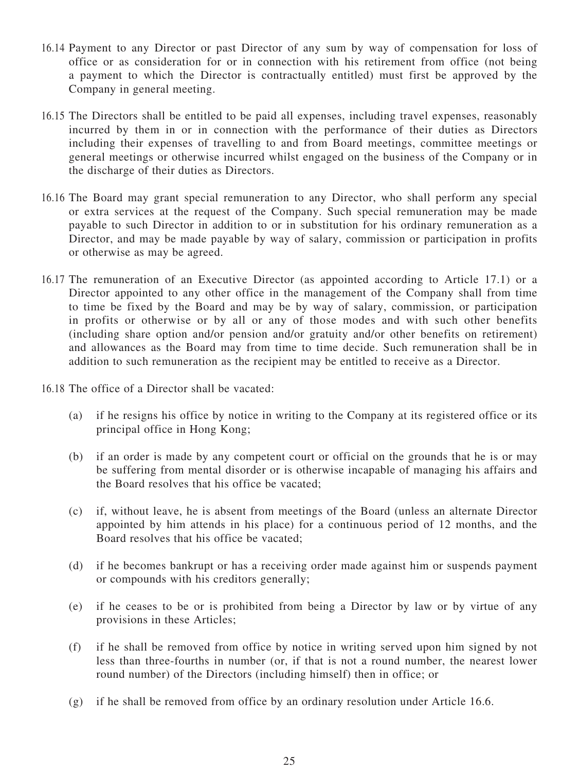- 16.14 Payment to any Director or past Director of any sum by way of compensation for loss of office or as consideration for or in connection with his retirement from office (not being a payment to which the Director is contractually entitled) must first be approved by the Company in general meeting.
- 16.15 The Directors shall be entitled to be paid all expenses, including travel expenses, reasonably incurred by them in or in connection with the performance of their duties as Directors including their expenses of travelling to and from Board meetings, committee meetings or general meetings or otherwise incurred whilst engaged on the business of the Company or in the discharge of their duties as Directors.
- 16.16 The Board may grant special remuneration to any Director, who shall perform any special or extra services at the request of the Company. Such special remuneration may be made payable to such Director in addition to or in substitution for his ordinary remuneration as a Director, and may be made payable by way of salary, commission or participation in profits or otherwise as may be agreed.
- <span id="page-29-0"></span>16.17 The remuneration of an Executive Director (as appointed according to Article 17.1) or a Director appointed to any other office in the management of the Company shall from time to time be fixed by the Board and may be by way of salary, commission, or participation in profits or otherwise or by all or any of those modes and with such other benefits (including share option and/or pension and/or gratuity and/or other benefits on retirement) and allowances as the Board may from time to time decide. Such remuneration shall be in addition to such remuneration as the recipient may be entitled to receive as a Director.
- 16.18 The office of a Director shall be vacated:
	- (a) if he resigns his office by notice in writing to the Company at its registered office or its principal office in Hong Kong;
	- (b) if an order is made by any competent court or official on the grounds that he is or may be suffering from mental disorder or is otherwise incapable of managing his affairs and the Board resolves that his office be vacated;
	- (c) if, without leave, he is absent from meetings of the Board (unless an alternate Director appointed by him attends in his place) for a continuous period of 12 months, and the Board resolves that his office be vacated;
	- (d) if he becomes bankrupt or has a receiving order made against him or suspends payment or compounds with his creditors generally;
	- (e) if he ceases to be or is prohibited from being a Director by law or by virtue of any provisions in these Articles;
	- (f) if he shall be removed from office by notice in writing served upon him signed by not less than three-fourths in number (or, if that is not a round number, the nearest lower round number) of the Directors (including himself) then in office; or
	- (g) if he shall be removed from office by an ordinary resolution under Article [16.6](#page-27-1).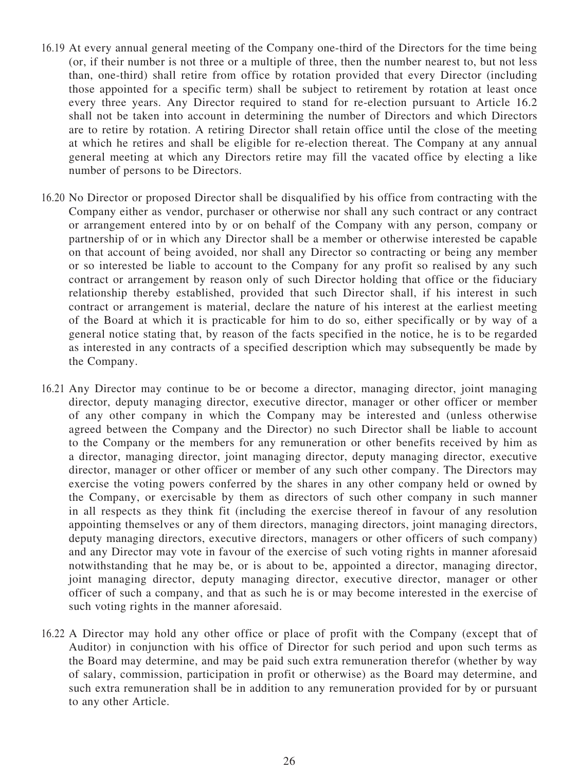- 16.19 At every annual general meeting of the Company one-third of the Directors for the time being (or, if their number is not three or a multiple of three, then the number nearest to, but not less than, one-third) shall retire from office by rotation provided that every Director (including those appointed for a specific term) shall be subject to retirement by rotation at least once every three years. Any Director required to stand for re-election pursuant to Article [16.2](#page-26-1) shall not be taken into account in determining the number of Directors and which Directors are to retire by rotation. A retiring Director shall retain office until the close of the meeting at which he retires and shall be eligible for re-election thereat. The Company at any annual general meeting at which any Directors retire may fill the vacated office by electing a like number of persons to be Directors.
- <span id="page-30-0"></span>16.20 No Director or proposed Director shall be disqualified by his office from contracting with the Company either as vendor, purchaser or otherwise nor shall any such contract or any contract or arrangement entered into by or on behalf of the Company with any person, company or partnership of or in which any Director shall be a member or otherwise interested be capable on that account of being avoided, nor shall any Director so contracting or being any member or so interested be liable to account to the Company for any profit so realised by any such contract or arrangement by reason only of such Director holding that office or the fiduciary relationship thereby established, provided that such Director shall, if his interest in such contract or arrangement is material, declare the nature of his interest at the earliest meeting of the Board at which it is practicable for him to do so, either specifically or by way of a general notice stating that, by reason of the facts specified in the notice, he is to be regarded as interested in any contracts of a specified description which may subsequently be made by the Company.
- 16.21 Any Director may continue to be or become a director, managing director, joint managing director, deputy managing director, executive director, manager or other officer or member of any other company in which the Company may be interested and (unless otherwise agreed between the Company and the Director) no such Director shall be liable to account to the Company or the members for any remuneration or other benefits received by him as a director, managing director, joint managing director, deputy managing director, executive director, manager or other officer or member of any such other company. The Directors may exercise the voting powers conferred by the shares in any other company held or owned by the Company, or exercisable by them as directors of such other company in such manner in all respects as they think fit (including the exercise thereof in favour of any resolution appointing themselves or any of them directors, managing directors, joint managing directors, deputy managing directors, executive directors, managers or other officers of such company) and any Director may vote in favour of the exercise of such voting rights in manner aforesaid notwithstanding that he may be, or is about to be, appointed a director, managing director, joint managing director, deputy managing director, executive director, manager or other officer of such a company, and that as such he is or may become interested in the exercise of such voting rights in the manner aforesaid.
- 16.22 A Director may hold any other office or place of profit with the Company (except that of Auditor) in conjunction with his office of Director for such period and upon such terms as the Board may determine, and may be paid such extra remuneration therefor (whether by way of salary, commission, participation in profit or otherwise) as the Board may determine, and such extra remuneration shall be in addition to any remuneration provided for by or pursuant to any other Article.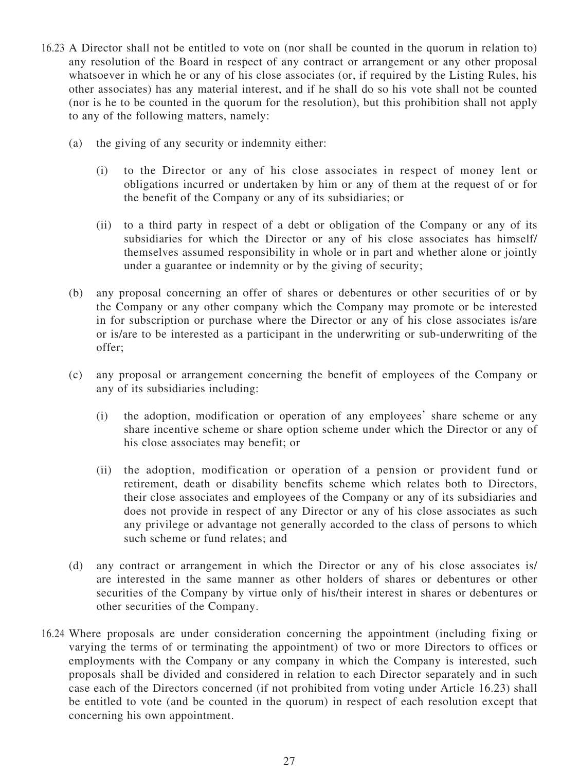- <span id="page-31-0"></span>16.23 A Director shall not be entitled to vote on (nor shall be counted in the quorum in relation to) any resolution of the Board in respect of any contract or arrangement or any other proposal whatsoever in which he or any of his close associates (or, if required by the Listing Rules, his other associates) has any material interest, and if he shall do so his vote shall not be counted (nor is he to be counted in the quorum for the resolution), but this prohibition shall not apply to any of the following matters, namely:
	- (a) the giving of any security or indemnity either:
		- (i) to the Director or any of his close associates in respect of money lent or obligations incurred or undertaken by him or any of them at the request of or for the benefit of the Company or any of its subsidiaries; or
		- (ii) to a third party in respect of a debt or obligation of the Company or any of its subsidiaries for which the Director or any of his close associates has himself/ themselves assumed responsibility in whole or in part and whether alone or jointly under a guarantee or indemnity or by the giving of security;
	- (b) any proposal concerning an offer of shares or debentures or other securities of or by the Company or any other company which the Company may promote or be interested in for subscription or purchase where the Director or any of his close associates is/are or is/are to be interested as a participant in the underwriting or sub-underwriting of the offer;
	- (c) any proposal or arrangement concerning the benefit of employees of the Company or any of its subsidiaries including:
		- (i) the adoption, modification or operation of any employees' share scheme or any share incentive scheme or share option scheme under which the Director or any of his close associates may benefit; or
		- (ii) the adoption, modification or operation of a pension or provident fund or retirement, death or disability benefits scheme which relates both to Directors, their close associates and employees of the Company or any of its subsidiaries and does not provide in respect of any Director or any of his close associates as such any privilege or advantage not generally accorded to the class of persons to which such scheme or fund relates; and
	- (d) any contract or arrangement in which the Director or any of his close associates is/ are interested in the same manner as other holders of shares or debentures or other securities of the Company by virtue only of his/their interest in shares or debentures or other securities of the Company.
- 16.24 Where proposals are under consideration concerning the appointment (including fixing or varying the terms of or terminating the appointment) of two or more Directors to offices or employments with the Company or any company in which the Company is interested, such proposals shall be divided and considered in relation to each Director separately and in such case each of the Directors concerned (if not prohibited from voting under Article [16.23\)](#page-31-0) shall be entitled to vote (and be counted in the quorum) in respect of each resolution except that concerning his own appointment.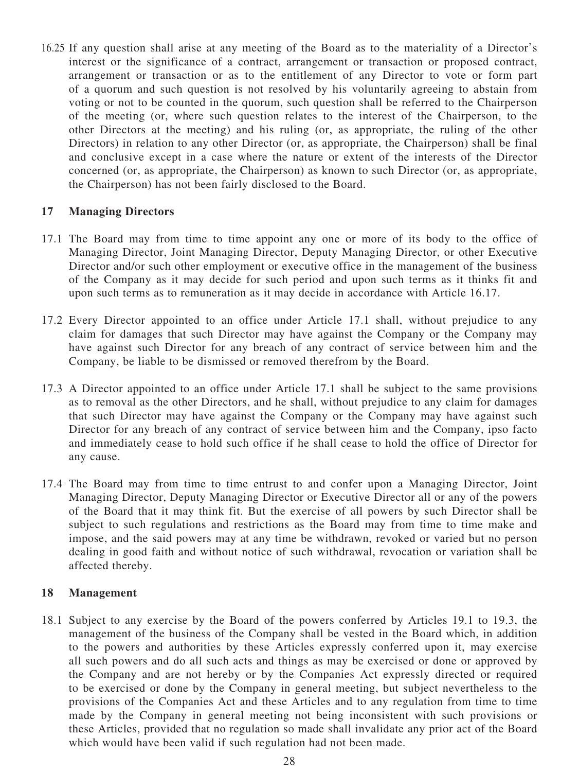<span id="page-32-1"></span>16.25 If any question shall arise at any meeting of the Board as to the materiality of a Director's interest or the significance of a contract, arrangement or transaction or proposed contract, arrangement or transaction or as to the entitlement of any Director to vote or form part of a quorum and such question is not resolved by his voluntarily agreeing to abstain from voting or not to be counted in the quorum, such question shall be referred to the Chairperson of the meeting (or, where such question relates to the interest of the Chairperson, to the other Directors at the meeting) and his ruling (or, as appropriate, the ruling of the other Directors) in relation to any other Director (or, as appropriate, the Chairperson) shall be final and conclusive except in a case where the nature or extent of the interests of the Director concerned (or, as appropriate, the Chairperson) as known to such Director (or, as appropriate, the Chairperson) has not been fairly disclosed to the Board.

### **17 Managing Directors**

- <span id="page-32-0"></span>17.1 The Board may from time to time appoint any one or more of its body to the office of Managing Director, Joint Managing Director, Deputy Managing Director, or other Executive Director and/or such other employment or executive office in the management of the business of the Company as it may decide for such period and upon such terms as it thinks fit and upon such terms as to remuneration as it may decide in accordance with Article [16.17.](#page-29-0)
- 17.2 Every Director appointed to an office under Article [17.1](#page-32-0) shall, without prejudice to any claim for damages that such Director may have against the Company or the Company may have against such Director for any breach of any contract of service between him and the Company, be liable to be dismissed or removed therefrom by the Board.
- 17.3 A Director appointed to an office under Article [17.1](#page-32-0) shall be subject to the same provisions as to removal as the other Directors, and he shall, without prejudice to any claim for damages that such Director may have against the Company or the Company may have against such Director for any breach of any contract of service between him and the Company, ipso facto and immediately cease to hold such office if he shall cease to hold the office of Director for any cause.
- 17.4 The Board may from time to time entrust to and confer upon a Managing Director, Joint Managing Director, Deputy Managing Director or Executive Director all or any of the powers of the Board that it may think fit. But the exercise of all powers by such Director shall be subject to such regulations and restrictions as the Board may from time to time make and impose, and the said powers may at any time be withdrawn, revoked or varied but no person dealing in good faith and without notice of such withdrawal, revocation or variation shall be affected thereby.

#### **18 Management**

18.1 Subject to any exercise by the Board of the powers conferred by Articles 19.1 to 19.3, the management of the business of the Company shall be vested in the Board which, in addition to the powers and authorities by these Articles expressly conferred upon it, may exercise all such powers and do all such acts and things as may be exercised or done or approved by the Company and are not hereby or by the Companies Act expressly directed or required to be exercised or done by the Company in general meeting, but subject nevertheless to the provisions of the Companies Act and these Articles and to any regulation from time to time made by the Company in general meeting not being inconsistent with such provisions or these Articles, provided that no regulation so made shall invalidate any prior act of the Board which would have been valid if such regulation had not been made.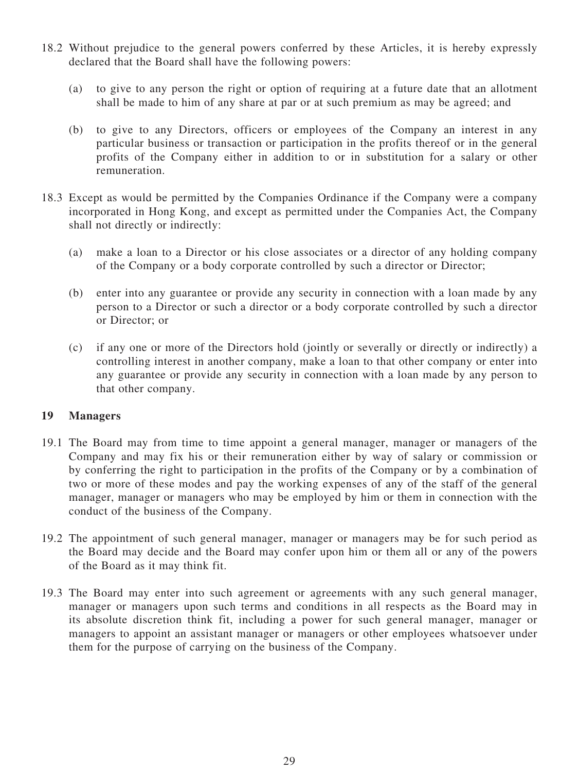- 18.2 Without prejudice to the general powers conferred by these Articles, it is hereby expressly declared that the Board shall have the following powers:
	- (a) to give to any person the right or option of requiring at a future date that an allotment shall be made to him of any share at par or at such premium as may be agreed; and
	- (b) to give to any Directors, officers or employees of the Company an interest in any particular business or transaction or participation in the profits thereof or in the general profits of the Company either in addition to or in substitution for a salary or other remuneration.
- 18.3 Except as would be permitted by the Companies Ordinance if the Company were a company incorporated in Hong Kong, and except as permitted under the Companies Act, the Company shall not directly or indirectly:
	- (a) make a loan to a Director or his close associates or a director of any holding company of the Company or a body corporate controlled by such a director or Director;
	- (b) enter into any guarantee or provide any security in connection with a loan made by any person to a Director or such a director or a body corporate controlled by such a director or Director; or
	- (c) if any one or more of the Directors hold (jointly or severally or directly or indirectly) a controlling interest in another company, make a loan to that other company or enter into any guarantee or provide any security in connection with a loan made by any person to that other company.

#### **19 Managers**

- 19.1 The Board may from time to time appoint a general manager, manager or managers of the Company and may fix his or their remuneration either by way of salary or commission or by conferring the right to participation in the profits of the Company or by a combination of two or more of these modes and pay the working expenses of any of the staff of the general manager, manager or managers who may be employed by him or them in connection with the conduct of the business of the Company.
- 19.2 The appointment of such general manager, manager or managers may be for such period as the Board may decide and the Board may confer upon him or them all or any of the powers of the Board as it may think fit.
- 19.3 The Board may enter into such agreement or agreements with any such general manager, manager or managers upon such terms and conditions in all respects as the Board may in its absolute discretion think fit, including a power for such general manager, manager or managers to appoint an assistant manager or managers or other employees whatsoever under them for the purpose of carrying on the business of the Company.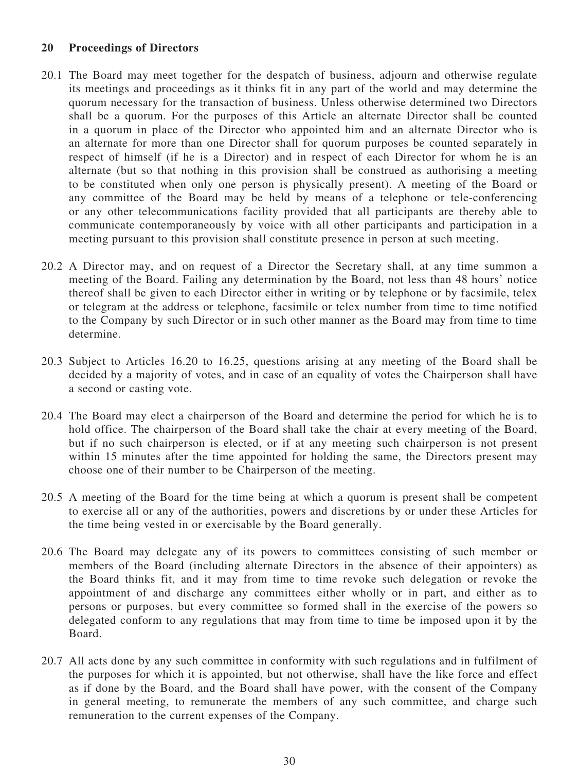#### **20 Proceedings of Directors**

- 20.1 The Board may meet together for the despatch of business, adjourn and otherwise regulate its meetings and proceedings as it thinks fit in any part of the world and may determine the quorum necessary for the transaction of business. Unless otherwise determined two Directors shall be a quorum. For the purposes of this Article an alternate Director shall be counted in a quorum in place of the Director who appointed him and an alternate Director who is an alternate for more than one Director shall for quorum purposes be counted separately in respect of himself (if he is a Director) and in respect of each Director for whom he is an alternate (but so that nothing in this provision shall be construed as authorising a meeting to be constituted when only one person is physically present). A meeting of the Board or any committee of the Board may be held by means of a telephone or tele-conferencing or any other telecommunications facility provided that all participants are thereby able to communicate contemporaneously by voice with all other participants and participation in a meeting pursuant to this provision shall constitute presence in person at such meeting.
- 20.2 A Director may, and on request of a Director the Secretary shall, at any time summon a meeting of the Board. Failing any determination by the Board, not less than 48 hours' notice thereof shall be given to each Director either in writing or by telephone or by facsimile, telex or telegram at the address or telephone, facsimile or telex number from time to time notified to the Company by such Director or in such other manner as the Board may from time to time determine.
- 20.3 Subject to Articles [16.20](#page-30-0) to [16.25,](#page-32-1) questions arising at any meeting of the Board shall be decided by a majority of votes, and in case of an equality of votes the Chairperson shall have a second or casting vote.
- 20.4 The Board may elect a chairperson of the Board and determine the period for which he is to hold office. The chairperson of the Board shall take the chair at every meeting of the Board, but if no such chairperson is elected, or if at any meeting such chairperson is not present within 15 minutes after the time appointed for holding the same, the Directors present may choose one of their number to be Chairperson of the meeting.
- 20.5 A meeting of the Board for the time being at which a quorum is present shall be competent to exercise all or any of the authorities, powers and discretions by or under these Articles for the time being vested in or exercisable by the Board generally.
- <span id="page-34-0"></span>20.6 The Board may delegate any of its powers to committees consisting of such member or members of the Board (including alternate Directors in the absence of their appointers) as the Board thinks fit, and it may from time to time revoke such delegation or revoke the appointment of and discharge any committees either wholly or in part, and either as to persons or purposes, but every committee so formed shall in the exercise of the powers so delegated conform to any regulations that may from time to time be imposed upon it by the Board.
- 20.7 All acts done by any such committee in conformity with such regulations and in fulfilment of the purposes for which it is appointed, but not otherwise, shall have the like force and effect as if done by the Board, and the Board shall have power, with the consent of the Company in general meeting, to remunerate the members of any such committee, and charge such remuneration to the current expenses of the Company.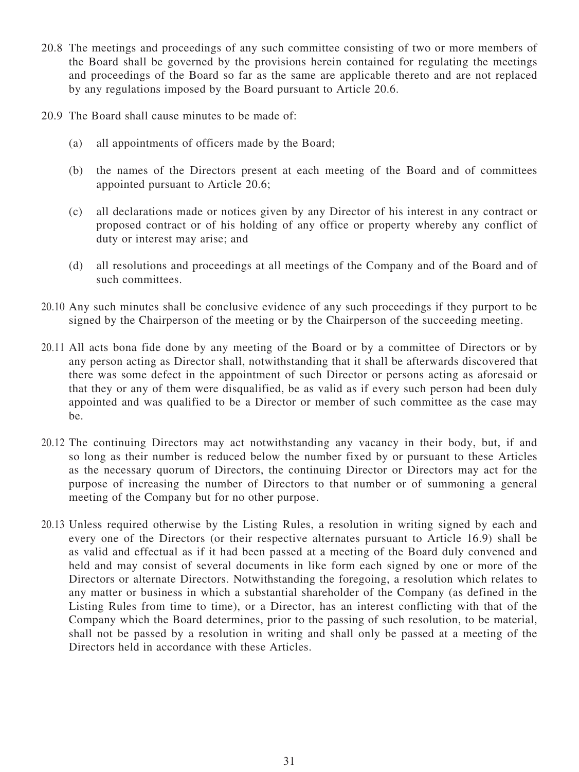- 20.8 The meetings and proceedings of any such committee consisting of two or more members of the Board shall be governed by the provisions herein contained for regulating the meetings and proceedings of the Board so far as the same are applicable thereto and are not replaced by any regulations imposed by the Board pursuant to Article [20.6](#page-34-0).
- 20.9 The Board shall cause minutes to be made of:
	- (a) all appointments of officers made by the Board;
	- (b) the names of the Directors present at each meeting of the Board and of committees appointed pursuant to Article [20.6;](#page-34-0)
	- (c) all declarations made or notices given by any Director of his interest in any contract or proposed contract or of his holding of any office or property whereby any conflict of duty or interest may arise; and
	- (d) all resolutions and proceedings at all meetings of the Company and of the Board and of such committees.
- 20.10 Any such minutes shall be conclusive evidence of any such proceedings if they purport to be signed by the Chairperson of the meeting or by the Chairperson of the succeeding meeting.
- 20.11 All acts bona fide done by any meeting of the Board or by a committee of Directors or by any person acting as Director shall, notwithstanding that it shall be afterwards discovered that there was some defect in the appointment of such Director or persons acting as aforesaid or that they or any of them were disqualified, be as valid as if every such person had been duly appointed and was qualified to be a Director or member of such committee as the case may be.
- 20.12 The continuing Directors may act notwithstanding any vacancy in their body, but, if and so long as their number is reduced below the number fixed by or pursuant to these Articles as the necessary quorum of Directors, the continuing Director or Directors may act for the purpose of increasing the number of Directors to that number or of summoning a general meeting of the Company but for no other purpose.
- 20.13 Unless required otherwise by the Listing Rules, a resolution in writing signed by each and every one of the Directors (or their respective alternates pursuant to Article [16.9](#page-28-1)) shall be as valid and effectual as if it had been passed at a meeting of the Board duly convened and held and may consist of several documents in like form each signed by one or more of the Directors or alternate Directors. Notwithstanding the foregoing, a resolution which relates to any matter or business in which a substantial shareholder of the Company (as defined in the Listing Rules from time to time), or a Director, has an interest conflicting with that of the Company which the Board determines, prior to the passing of such resolution, to be material, shall not be passed by a resolution in writing and shall only be passed at a meeting of the Directors held in accordance with these Articles.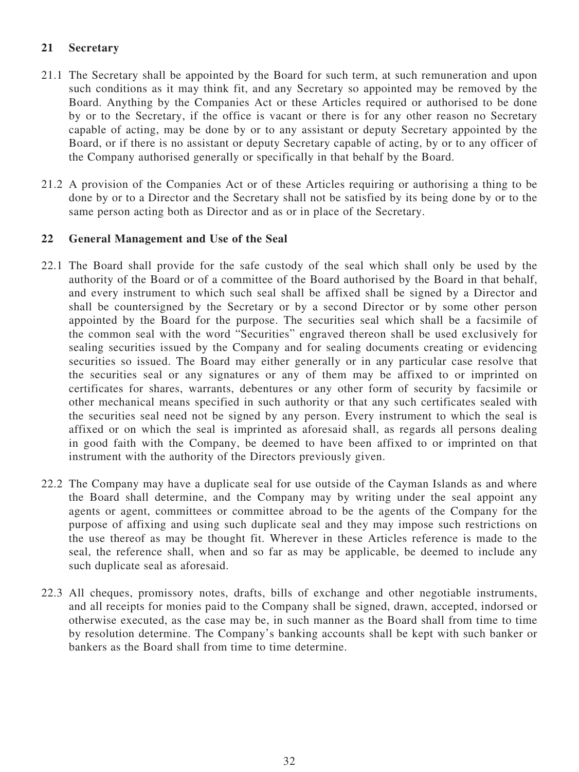## **21 Secretary**

- 21.1 The Secretary shall be appointed by the Board for such term, at such remuneration and upon such conditions as it may think fit, and any Secretary so appointed may be removed by the Board. Anything by the Companies Act or these Articles required or authorised to be done by or to the Secretary, if the office is vacant or there is for any other reason no Secretary capable of acting, may be done by or to any assistant or deputy Secretary appointed by the Board, or if there is no assistant or deputy Secretary capable of acting, by or to any officer of the Company authorised generally or specifically in that behalf by the Board.
- 21.2 A provision of the Companies Act or of these Articles requiring or authorising a thing to be done by or to a Director and the Secretary shall not be satisfied by its being done by or to the same person acting both as Director and as or in place of the Secretary.

## **22 General Management and Use of the Seal**

- 22.1 The Board shall provide for the safe custody of the seal which shall only be used by the authority of the Board or of a committee of the Board authorised by the Board in that behalf, and every instrument to which such seal shall be affixed shall be signed by a Director and shall be countersigned by the Secretary or by a second Director or by some other person appointed by the Board for the purpose. The securities seal which shall be a facsimile of the common seal with the word "Securities" engraved thereon shall be used exclusively for sealing securities issued by the Company and for sealing documents creating or evidencing securities so issued. The Board may either generally or in any particular case resolve that the securities seal or any signatures or any of them may be affixed to or imprinted on certificates for shares, warrants, debentures or any other form of security by facsimile or other mechanical means specified in such authority or that any such certificates sealed with the securities seal need not be signed by any person. Every instrument to which the seal is affixed or on which the seal is imprinted as aforesaid shall, as regards all persons dealing in good faith with the Company, be deemed to have been affixed to or imprinted on that instrument with the authority of the Directors previously given.
- 22.2 The Company may have a duplicate seal for use outside of the Cayman Islands as and where the Board shall determine, and the Company may by writing under the seal appoint any agents or agent, committees or committee abroad to be the agents of the Company for the purpose of affixing and using such duplicate seal and they may impose such restrictions on the use thereof as may be thought fit. Wherever in these Articles reference is made to the seal, the reference shall, when and so far as may be applicable, be deemed to include any such duplicate seal as aforesaid.
- 22.3 All cheques, promissory notes, drafts, bills of exchange and other negotiable instruments, and all receipts for monies paid to the Company shall be signed, drawn, accepted, indorsed or otherwise executed, as the case may be, in such manner as the Board shall from time to time by resolution determine. The Company's banking accounts shall be kept with such banker or bankers as the Board shall from time to time determine.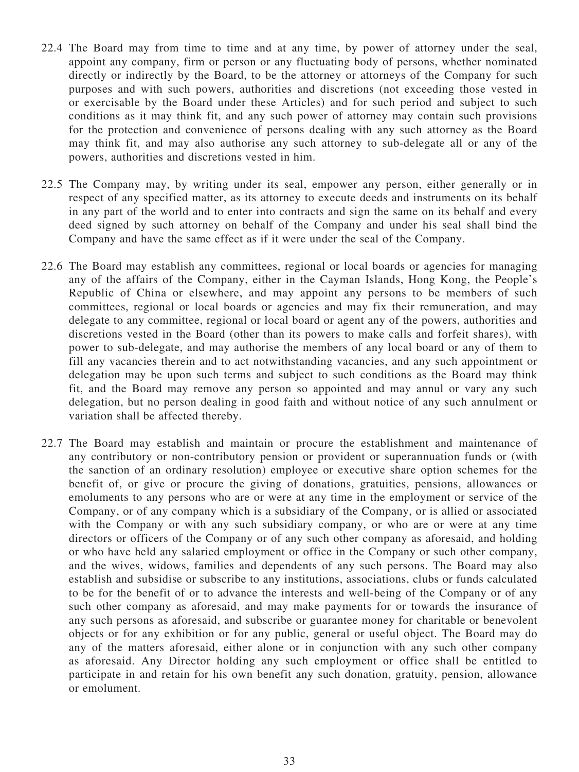- 22.4 The Board may from time to time and at any time, by power of attorney under the seal, appoint any company, firm or person or any fluctuating body of persons, whether nominated directly or indirectly by the Board, to be the attorney or attorneys of the Company for such purposes and with such powers, authorities and discretions (not exceeding those vested in or exercisable by the Board under these Articles) and for such period and subject to such conditions as it may think fit, and any such power of attorney may contain such provisions for the protection and convenience of persons dealing with any such attorney as the Board may think fit, and may also authorise any such attorney to sub-delegate all or any of the powers, authorities and discretions vested in him.
- 22.5 The Company may, by writing under its seal, empower any person, either generally or in respect of any specified matter, as its attorney to execute deeds and instruments on its behalf in any part of the world and to enter into contracts and sign the same on its behalf and every deed signed by such attorney on behalf of the Company and under his seal shall bind the Company and have the same effect as if it were under the seal of the Company.
- 22.6 The Board may establish any committees, regional or local boards or agencies for managing any of the affairs of the Company, either in the Cayman Islands, Hong Kong, the People's Republic of China or elsewhere, and may appoint any persons to be members of such committees, regional or local boards or agencies and may fix their remuneration, and may delegate to any committee, regional or local board or agent any of the powers, authorities and discretions vested in the Board (other than its powers to make calls and forfeit shares), with power to sub-delegate, and may authorise the members of any local board or any of them to fill any vacancies therein and to act notwithstanding vacancies, and any such appointment or delegation may be upon such terms and subject to such conditions as the Board may think fit, and the Board may remove any person so appointed and may annul or vary any such delegation, but no person dealing in good faith and without notice of any such annulment or variation shall be affected thereby.
- 22.7 The Board may establish and maintain or procure the establishment and maintenance of any contributory or non-contributory pension or provident or superannuation funds or (with the sanction of an ordinary resolution) employee or executive share option schemes for the benefit of, or give or procure the giving of donations, gratuities, pensions, allowances or emoluments to any persons who are or were at any time in the employment or service of the Company, or of any company which is a subsidiary of the Company, or is allied or associated with the Company or with any such subsidiary company, or who are or were at any time directors or officers of the Company or of any such other company as aforesaid, and holding or who have held any salaried employment or office in the Company or such other company, and the wives, widows, families and dependents of any such persons. The Board may also establish and subsidise or subscribe to any institutions, associations, clubs or funds calculated to be for the benefit of or to advance the interests and well-being of the Company or of any such other company as aforesaid, and may make payments for or towards the insurance of any such persons as aforesaid, and subscribe or guarantee money for charitable or benevolent objects or for any exhibition or for any public, general or useful object. The Board may do any of the matters aforesaid, either alone or in conjunction with any such other company as aforesaid. Any Director holding any such employment or office shall be entitled to participate in and retain for his own benefit any such donation, gratuity, pension, allowance or emolument.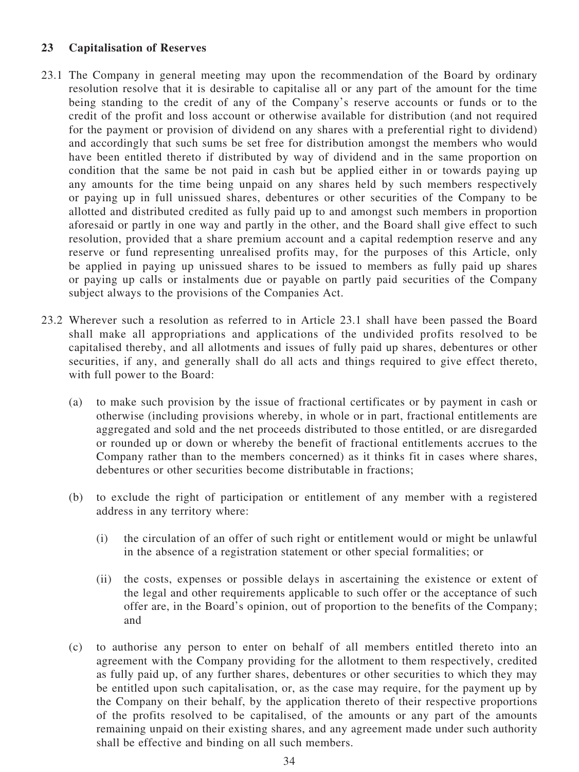### **23 Capitalisation of Reserves**

- <span id="page-38-0"></span>23.1 The Company in general meeting may upon the recommendation of the Board by ordinary resolution resolve that it is desirable to capitalise all or any part of the amount for the time being standing to the credit of any of the Company's reserve accounts or funds or to the credit of the profit and loss account or otherwise available for distribution (and not required for the payment or provision of dividend on any shares with a preferential right to dividend) and accordingly that such sums be set free for distribution amongst the members who would have been entitled thereto if distributed by way of dividend and in the same proportion on condition that the same be not paid in cash but be applied either in or towards paying up any amounts for the time being unpaid on any shares held by such members respectively or paying up in full unissued shares, debentures or other securities of the Company to be allotted and distributed credited as fully paid up to and amongst such members in proportion aforesaid or partly in one way and partly in the other, and the Board shall give effect to such resolution, provided that a share premium account and a capital redemption reserve and any reserve or fund representing unrealised profits may, for the purposes of this Article, only be applied in paying up unissued shares to be issued to members as fully paid up shares or paying up calls or instalments due or payable on partly paid securities of the Company subject always to the provisions of the Companies Act.
- <span id="page-38-1"></span>23.2 Wherever such a resolution as referred to in Article [23.1](#page-38-0) shall have been passed the Board shall make all appropriations and applications of the undivided profits resolved to be capitalised thereby, and all allotments and issues of fully paid up shares, debentures or other securities, if any, and generally shall do all acts and things required to give effect thereto, with full power to the Board:
	- (a) to make such provision by the issue of fractional certificates or by payment in cash or otherwise (including provisions whereby, in whole or in part, fractional entitlements are aggregated and sold and the net proceeds distributed to those entitled, or are disregarded or rounded up or down or whereby the benefit of fractional entitlements accrues to the Company rather than to the members concerned) as it thinks fit in cases where shares, debentures or other securities become distributable in fractions;
	- (b) to exclude the right of participation or entitlement of any member with a registered address in any territory where:
		- (i) the circulation of an offer of such right or entitlement would or might be unlawful in the absence of a registration statement or other special formalities; or
		- (ii) the costs, expenses or possible delays in ascertaining the existence or extent of the legal and other requirements applicable to such offer or the acceptance of such offer are, in the Board's opinion, out of proportion to the benefits of the Company; and
	- (c) to authorise any person to enter on behalf of all members entitled thereto into an agreement with the Company providing for the allotment to them respectively, credited as fully paid up, of any further shares, debentures or other securities to which they may be entitled upon such capitalisation, or, as the case may require, for the payment up by the Company on their behalf, by the application thereto of their respective proportions of the profits resolved to be capitalised, of the amounts or any part of the amounts remaining unpaid on their existing shares, and any agreement made under such authority shall be effective and binding on all such members.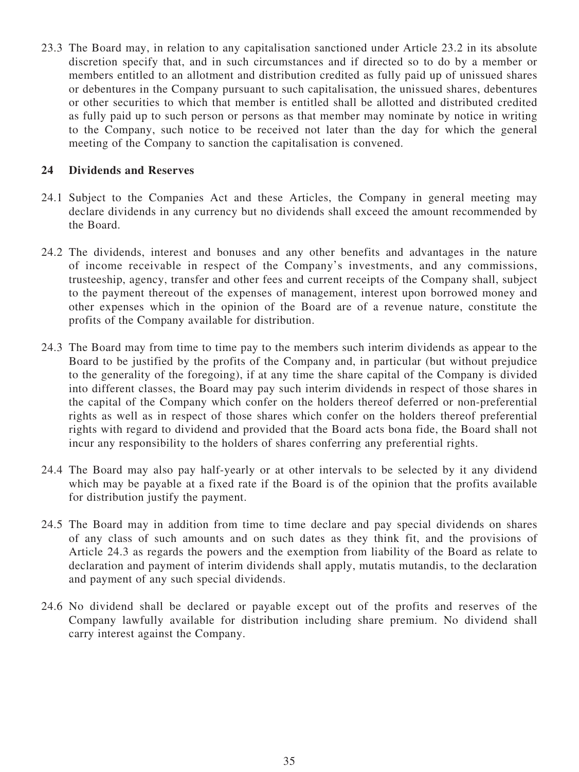23.3 The Board may, in relation to any capitalisation sanctioned under Article [23.2](#page-38-1) in its absolute discretion specify that, and in such circumstances and if directed so to do by a member or members entitled to an allotment and distribution credited as fully paid up of unissued shares or debentures in the Company pursuant to such capitalisation, the unissued shares, debentures or other securities to which that member is entitled shall be allotted and distributed credited as fully paid up to such person or persons as that member may nominate by notice in writing to the Company, such notice to be received not later than the day for which the general meeting of the Company to sanction the capitalisation is convened.

### **24 Dividends and Reserves**

- 24.1 Subject to the Companies Act and these Articles, the Company in general meeting may declare dividends in any currency but no dividends shall exceed the amount recommended by the Board.
- 24.2 The dividends, interest and bonuses and any other benefits and advantages in the nature of income receivable in respect of the Company's investments, and any commissions, trusteeship, agency, transfer and other fees and current receipts of the Company shall, subject to the payment thereout of the expenses of management, interest upon borrowed money and other expenses which in the opinion of the Board are of a revenue nature, constitute the profits of the Company available for distribution.
- <span id="page-39-0"></span>24.3 The Board may from time to time pay to the members such interim dividends as appear to the Board to be justified by the profits of the Company and, in particular (but without prejudice to the generality of the foregoing), if at any time the share capital of the Company is divided into different classes, the Board may pay such interim dividends in respect of those shares in the capital of the Company which confer on the holders thereof deferred or non-preferential rights as well as in respect of those shares which confer on the holders thereof preferential rights with regard to dividend and provided that the Board acts bona fide, the Board shall not incur any responsibility to the holders of shares conferring any preferential rights.
- 24.4 The Board may also pay half-yearly or at other intervals to be selected by it any dividend which may be payable at a fixed rate if the Board is of the opinion that the profits available for distribution justify the payment.
- 24.5 The Board may in addition from time to time declare and pay special dividends on shares of any class of such amounts and on such dates as they think fit, and the provisions of Article [24.3](#page-39-0) as regards the powers and the exemption from liability of the Board as relate to declaration and payment of interim dividends shall apply, mutatis mutandis, to the declaration and payment of any such special dividends.
- 24.6 No dividend shall be declared or payable except out of the profits and reserves of the Company lawfully available for distribution including share premium. No dividend shall carry interest against the Company.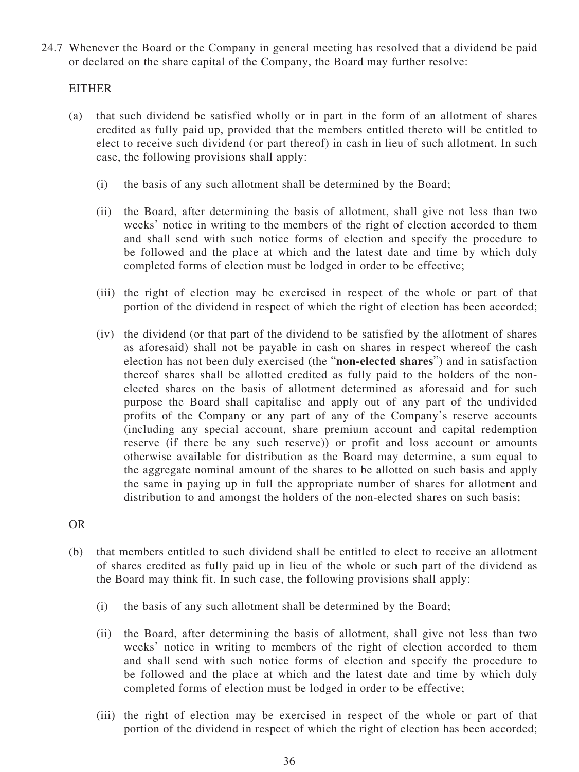<span id="page-40-0"></span>24.7 Whenever the Board or the Company in general meeting has resolved that a dividend be paid or declared on the share capital of the Company, the Board may further resolve:

### EITHER

- <span id="page-40-1"></span>(a) that such dividend be satisfied wholly or in part in the form of an allotment of shares credited as fully paid up, provided that the members entitled thereto will be entitled to elect to receive such dividend (or part thereof) in cash in lieu of such allotment. In such case, the following provisions shall apply:
	- (i) the basis of any such allotment shall be determined by the Board;
	- (ii) the Board, after determining the basis of allotment, shall give not less than two weeks' notice in writing to the members of the right of election accorded to them and shall send with such notice forms of election and specify the procedure to be followed and the place at which and the latest date and time by which duly completed forms of election must be lodged in order to be effective;
	- (iii) the right of election may be exercised in respect of the whole or part of that portion of the dividend in respect of which the right of election has been accorded;
	- (iv) the dividend (or that part of the dividend to be satisfied by the allotment of shares as aforesaid) shall not be payable in cash on shares in respect whereof the cash election has not been duly exercised (the "**non-elected shares**") and in satisfaction thereof shares shall be allotted credited as fully paid to the holders of the nonelected shares on the basis of allotment determined as aforesaid and for such purpose the Board shall capitalise and apply out of any part of the undivided profits of the Company or any part of any of the Company's reserve accounts (including any special account, share premium account and capital redemption reserve (if there be any such reserve)) or profit and loss account or amounts otherwise available for distribution as the Board may determine, a sum equal to the aggregate nominal amount of the shares to be allotted on such basis and apply the same in paying up in full the appropriate number of shares for allotment and distribution to and amongst the holders of the non-elected shares on such basis;

OR

- <span id="page-40-2"></span>(b) that members entitled to such dividend shall be entitled to elect to receive an allotment of shares credited as fully paid up in lieu of the whole or such part of the dividend as the Board may think fit. In such case, the following provisions shall apply:
	- (i) the basis of any such allotment shall be determined by the Board;
	- (ii) the Board, after determining the basis of allotment, shall give not less than two weeks' notice in writing to members of the right of election accorded to them and shall send with such notice forms of election and specify the procedure to be followed and the place at which and the latest date and time by which duly completed forms of election must be lodged in order to be effective;
	- (iii) the right of election may be exercised in respect of the whole or part of that portion of the dividend in respect of which the right of election has been accorded;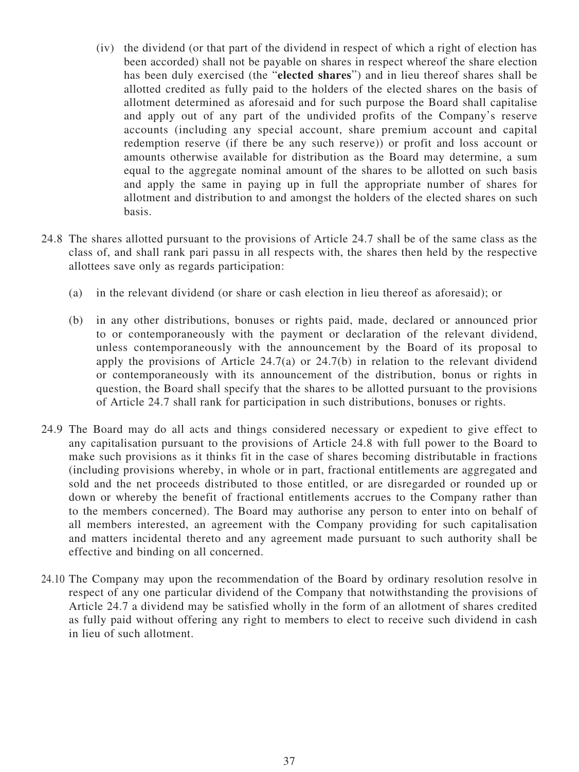- (iv) the dividend (or that part of the dividend in respect of which a right of election has been accorded) shall not be payable on shares in respect whereof the share election has been duly exercised (the "**elected shares**") and in lieu thereof shares shall be allotted credited as fully paid to the holders of the elected shares on the basis of allotment determined as aforesaid and for such purpose the Board shall capitalise and apply out of any part of the undivided profits of the Company's reserve accounts (including any special account, share premium account and capital redemption reserve (if there be any such reserve)) or profit and loss account or amounts otherwise available for distribution as the Board may determine, a sum equal to the aggregate nominal amount of the shares to be allotted on such basis and apply the same in paying up in full the appropriate number of shares for allotment and distribution to and amongst the holders of the elected shares on such basis.
- <span id="page-41-0"></span>24.8 The shares allotted pursuant to the provisions of Article [24.7](#page-40-0) shall be of the same class as the class of, and shall rank pari passu in all respects with, the shares then held by the respective allottees save only as regards participation:
	- (a) in the relevant dividend (or share or cash election in lieu thereof as aforesaid); or
	- (b) in any other distributions, bonuses or rights paid, made, declared or announced prior to or contemporaneously with the payment or declaration of the relevant dividend, unless contemporaneously with the announcement by the Board of its proposal to apply the provisions of Article [24.7\(a\)](#page-40-1) or [24.7\(b\)](#page-40-2) in relation to the relevant dividend or contemporaneously with its announcement of the distribution, bonus or rights in question, the Board shall specify that the shares to be allotted pursuant to the provisions of Article [24.7](#page-40-0) shall rank for participation in such distributions, bonuses or rights.
- 24.9 The Board may do all acts and things considered necessary or expedient to give effect to any capitalisation pursuant to the provisions of Article [24.8](#page-41-0) with full power to the Board to make such provisions as it thinks fit in the case of shares becoming distributable in fractions (including provisions whereby, in whole or in part, fractional entitlements are aggregated and sold and the net proceeds distributed to those entitled, or are disregarded or rounded up or down or whereby the benefit of fractional entitlements accrues to the Company rather than to the members concerned). The Board may authorise any person to enter into on behalf of all members interested, an agreement with the Company providing for such capitalisation and matters incidental thereto and any agreement made pursuant to such authority shall be effective and binding on all concerned.
- 24.10 The Company may upon the recommendation of the Board by ordinary resolution resolve in respect of any one particular dividend of the Company that notwithstanding the provisions of Article [24.7](#page-40-0) a dividend may be satisfied wholly in the form of an allotment of shares credited as fully paid without offering any right to members to elect to receive such dividend in cash in lieu of such allotment.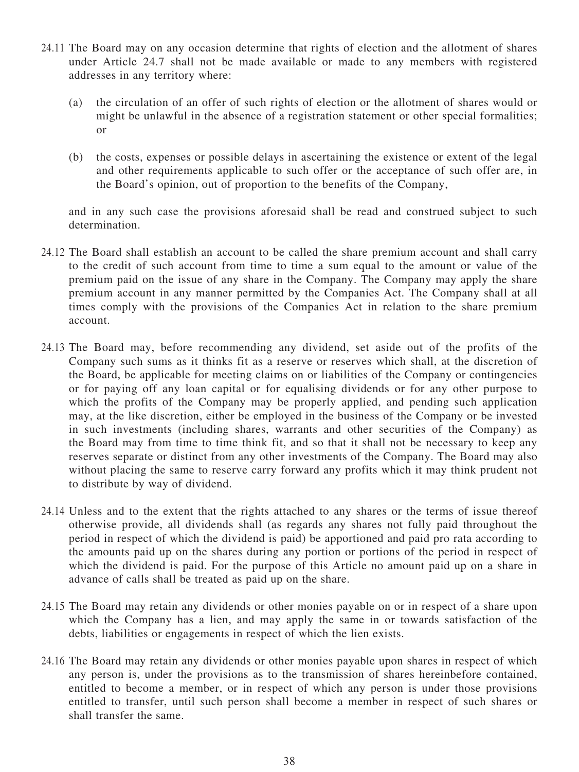- 24.11 The Board may on any occasion determine that rights of election and the allotment of shares under Article [24.7](#page-40-0) shall not be made available or made to any members with registered addresses in any territory where:
	- (a) the circulation of an offer of such rights of election or the allotment of shares would or might be unlawful in the absence of a registration statement or other special formalities; or
	- (b) the costs, expenses or possible delays in ascertaining the existence or extent of the legal and other requirements applicable to such offer or the acceptance of such offer are, in the Board's opinion, out of proportion to the benefits of the Company,

and in any such case the provisions aforesaid shall be read and construed subject to such determination.

- 24.12 The Board shall establish an account to be called the share premium account and shall carry to the credit of such account from time to time a sum equal to the amount or value of the premium paid on the issue of any share in the Company. The Company may apply the share premium account in any manner permitted by the Companies Act. The Company shall at all times comply with the provisions of the Companies Act in relation to the share premium account.
- 24.13 The Board may, before recommending any dividend, set aside out of the profits of the Company such sums as it thinks fit as a reserve or reserves which shall, at the discretion of the Board, be applicable for meeting claims on or liabilities of the Company or contingencies or for paying off any loan capital or for equalising dividends or for any other purpose to which the profits of the Company may be properly applied, and pending such application may, at the like discretion, either be employed in the business of the Company or be invested in such investments (including shares, warrants and other securities of the Company) as the Board may from time to time think fit, and so that it shall not be necessary to keep any reserves separate or distinct from any other investments of the Company. The Board may also without placing the same to reserve carry forward any profits which it may think prudent not to distribute by way of dividend.
- 24.14 Unless and to the extent that the rights attached to any shares or the terms of issue thereof otherwise provide, all dividends shall (as regards any shares not fully paid throughout the period in respect of which the dividend is paid) be apportioned and paid pro rata according to the amounts paid up on the shares during any portion or portions of the period in respect of which the dividend is paid. For the purpose of this Article no amount paid up on a share in advance of calls shall be treated as paid up on the share.
- 24.15 The Board may retain any dividends or other monies payable on or in respect of a share upon which the Company has a lien, and may apply the same in or towards satisfaction of the debts, liabilities or engagements in respect of which the lien exists.
- 24.16 The Board may retain any dividends or other monies payable upon shares in respect of which any person is, under the provisions as to the transmission of shares hereinbefore contained, entitled to become a member, or in respect of which any person is under those provisions entitled to transfer, until such person shall become a member in respect of such shares or shall transfer the same.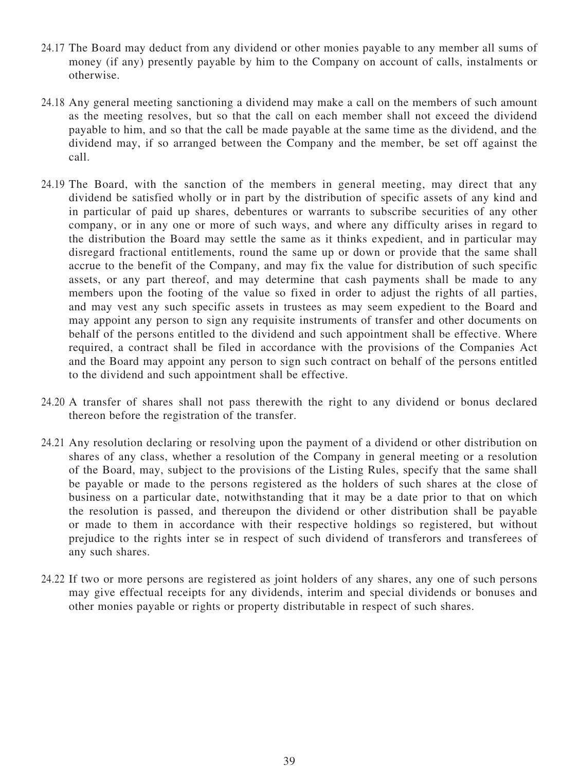- 24.17 The Board may deduct from any dividend or other monies payable to any member all sums of money (if any) presently payable by him to the Company on account of calls, instalments or otherwise.
- 24.18 Any general meeting sanctioning a dividend may make a call on the members of such amount as the meeting resolves, but so that the call on each member shall not exceed the dividend payable to him, and so that the call be made payable at the same time as the dividend, and the dividend may, if so arranged between the Company and the member, be set off against the call.
- 24.19 The Board, with the sanction of the members in general meeting, may direct that any dividend be satisfied wholly or in part by the distribution of specific assets of any kind and in particular of paid up shares, debentures or warrants to subscribe securities of any other company, or in any one or more of such ways, and where any difficulty arises in regard to the distribution the Board may settle the same as it thinks expedient, and in particular may disregard fractional entitlements, round the same up or down or provide that the same shall accrue to the benefit of the Company, and may fix the value for distribution of such specific assets, or any part thereof, and may determine that cash payments shall be made to any members upon the footing of the value so fixed in order to adjust the rights of all parties, and may vest any such specific assets in trustees as may seem expedient to the Board and may appoint any person to sign any requisite instruments of transfer and other documents on behalf of the persons entitled to the dividend and such appointment shall be effective. Where required, a contract shall be filed in accordance with the provisions of the Companies Act and the Board may appoint any person to sign such contract on behalf of the persons entitled to the dividend and such appointment shall be effective.
- 24.20 A transfer of shares shall not pass therewith the right to any dividend or bonus declared thereon before the registration of the transfer.
- 24.21 Any resolution declaring or resolving upon the payment of a dividend or other distribution on shares of any class, whether a resolution of the Company in general meeting or a resolution of the Board, may, subject to the provisions of the Listing Rules, specify that the same shall be payable or made to the persons registered as the holders of such shares at the close of business on a particular date, notwithstanding that it may be a date prior to that on which the resolution is passed, and thereupon the dividend or other distribution shall be payable or made to them in accordance with their respective holdings so registered, but without prejudice to the rights inter se in respect of such dividend of transferors and transferees of any such shares.
- 24.22 If two or more persons are registered as joint holders of any shares, any one of such persons may give effectual receipts for any dividends, interim and special dividends or bonuses and other monies payable or rights or property distributable in respect of such shares.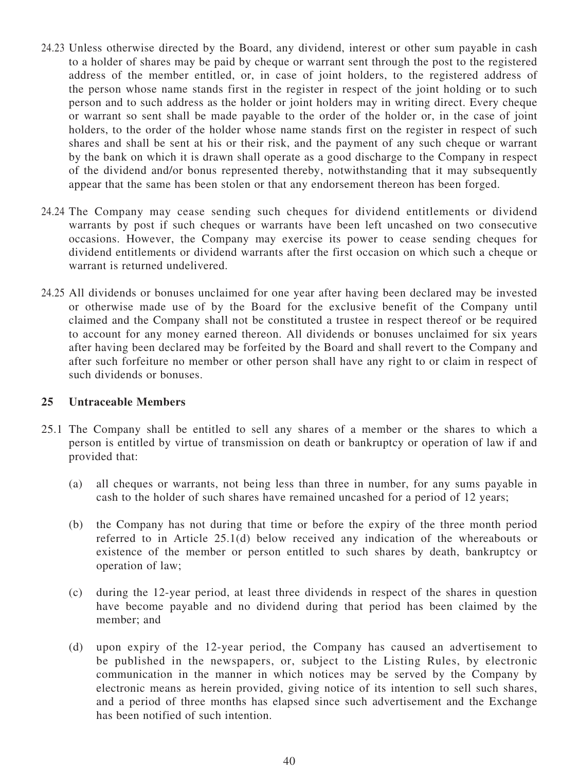- 24.23 Unless otherwise directed by the Board, any dividend, interest or other sum payable in cash to a holder of shares may be paid by cheque or warrant sent through the post to the registered address of the member entitled, or, in case of joint holders, to the registered address of the person whose name stands first in the register in respect of the joint holding or to such person and to such address as the holder or joint holders may in writing direct. Every cheque or warrant so sent shall be made payable to the order of the holder or, in the case of joint holders, to the order of the holder whose name stands first on the register in respect of such shares and shall be sent at his or their risk, and the payment of any such cheque or warrant by the bank on which it is drawn shall operate as a good discharge to the Company in respect of the dividend and/or bonus represented thereby, notwithstanding that it may subsequently appear that the same has been stolen or that any endorsement thereon has been forged.
- 24.24 The Company may cease sending such cheques for dividend entitlements or dividend warrants by post if such cheques or warrants have been left uncashed on two consecutive occasions. However, the Company may exercise its power to cease sending cheques for dividend entitlements or dividend warrants after the first occasion on which such a cheque or warrant is returned undelivered.
- 24.25 All dividends or bonuses unclaimed for one year after having been declared may be invested or otherwise made use of by the Board for the exclusive benefit of the Company until claimed and the Company shall not be constituted a trustee in respect thereof or be required to account for any money earned thereon. All dividends or bonuses unclaimed for six years after having been declared may be forfeited by the Board and shall revert to the Company and after such forfeiture no member or other person shall have any right to or claim in respect of such dividends or bonuses.

#### **25 Untraceable Members**

- <span id="page-44-0"></span>25.1 The Company shall be entitled to sell any shares of a member or the shares to which a person is entitled by virtue of transmission on death or bankruptcy or operation of law if and provided that:
	- (a) all cheques or warrants, not being less than three in number, for any sums payable in cash to the holder of such shares have remained uncashed for a period of 12 years;
	- (b) the Company has not during that time or before the expiry of the three month period referred to in Article 25.1(d) below received any indication of the whereabouts or existence of the member or person entitled to such shares by death, bankruptcy or operation of law;
	- (c) during the 12-year period, at least three dividends in respect of the shares in question have become payable and no dividend during that period has been claimed by the member; and
	- (d) upon expiry of the 12-year period, the Company has caused an advertisement to be published in the newspapers, or, subject to the Listing Rules, by electronic communication in the manner in which notices may be served by the Company by electronic means as herein provided, giving notice of its intention to sell such shares, and a period of three months has elapsed since such advertisement and the Exchange has been notified of such intention.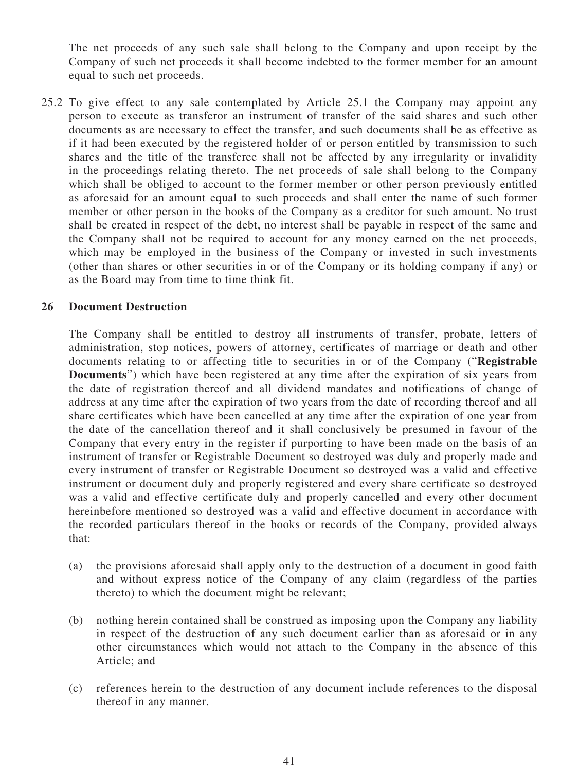The net proceeds of any such sale shall belong to the Company and upon receipt by the Company of such net proceeds it shall become indebted to the former member for an amount equal to such net proceeds.

25.2 To give effect to any sale contemplated by Article [25.1](#page-44-0) the Company may appoint any person to execute as transferor an instrument of transfer of the said shares and such other documents as are necessary to effect the transfer, and such documents shall be as effective as if it had been executed by the registered holder of or person entitled by transmission to such shares and the title of the transferee shall not be affected by any irregularity or invalidity in the proceedings relating thereto. The net proceeds of sale shall belong to the Company which shall be obliged to account to the former member or other person previously entitled as aforesaid for an amount equal to such proceeds and shall enter the name of such former member or other person in the books of the Company as a creditor for such amount. No trust shall be created in respect of the debt, no interest shall be payable in respect of the same and the Company shall not be required to account for any money earned on the net proceeds, which may be employed in the business of the Company or invested in such investments (other than shares or other securities in or of the Company or its holding company if any) or as the Board may from time to time think fit.

#### **26 Document Destruction**

The Company shall be entitled to destroy all instruments of transfer, probate, letters of administration, stop notices, powers of attorney, certificates of marriage or death and other documents relating to or affecting title to securities in or of the Company ("**Registrable Documents**") which have been registered at any time after the expiration of six years from the date of registration thereof and all dividend mandates and notifications of change of address at any time after the expiration of two years from the date of recording thereof and all share certificates which have been cancelled at any time after the expiration of one year from the date of the cancellation thereof and it shall conclusively be presumed in favour of the Company that every entry in the register if purporting to have been made on the basis of an instrument of transfer or Registrable Document so destroyed was duly and properly made and every instrument of transfer or Registrable Document so destroyed was a valid and effective instrument or document duly and properly registered and every share certificate so destroyed was a valid and effective certificate duly and properly cancelled and every other document hereinbefore mentioned so destroyed was a valid and effective document in accordance with the recorded particulars thereof in the books or records of the Company, provided always that:

- (a) the provisions aforesaid shall apply only to the destruction of a document in good faith and without express notice of the Company of any claim (regardless of the parties thereto) to which the document might be relevant;
- (b) nothing herein contained shall be construed as imposing upon the Company any liability in respect of the destruction of any such document earlier than as aforesaid or in any other circumstances which would not attach to the Company in the absence of this Article; and
- (c) references herein to the destruction of any document include references to the disposal thereof in any manner.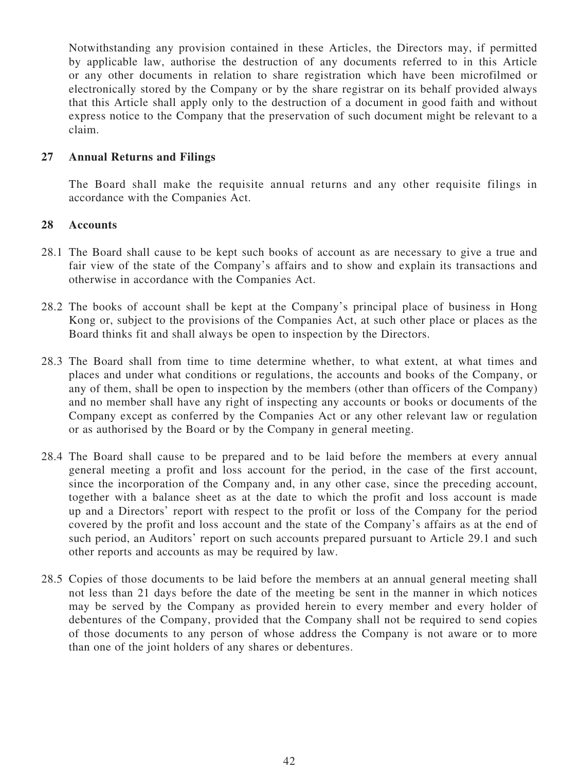Notwithstanding any provision contained in these Articles, the Directors may, if permitted by applicable law, authorise the destruction of any documents referred to in this Article or any other documents in relation to share registration which have been microfilmed or electronically stored by the Company or by the share registrar on its behalf provided always that this Article shall apply only to the destruction of a document in good faith and without express notice to the Company that the preservation of such document might be relevant to a claim.

### **27 Annual Returns and Filings**

The Board shall make the requisite annual returns and any other requisite filings in accordance with the Companies Act.

#### **28 Accounts**

- 28.1 The Board shall cause to be kept such books of account as are necessary to give a true and fair view of the state of the Company's affairs and to show and explain its transactions and otherwise in accordance with the Companies Act.
- 28.2 The books of account shall be kept at the Company's principal place of business in Hong Kong or, subject to the provisions of the Companies Act, at such other place or places as the Board thinks fit and shall always be open to inspection by the Directors.
- 28.3 The Board shall from time to time determine whether, to what extent, at what times and places and under what conditions or regulations, the accounts and books of the Company, or any of them, shall be open to inspection by the members (other than officers of the Company) and no member shall have any right of inspecting any accounts or books or documents of the Company except as conferred by the Companies Act or any other relevant law or regulation or as authorised by the Board or by the Company in general meeting.
- 28.4 The Board shall cause to be prepared and to be laid before the members at every annual general meeting a profit and loss account for the period, in the case of the first account, since the incorporation of the Company and, in any other case, since the preceding account, together with a balance sheet as at the date to which the profit and loss account is made up and a Directors' report with respect to the profit or loss of the Company for the period covered by the profit and loss account and the state of the Company's affairs as at the end of such period, an Auditors' report on such accounts prepared pursuant to Article 29.1 and such other reports and accounts as may be required by law.
- <span id="page-46-0"></span>28.5 Copies of those documents to be laid before the members at an annual general meeting shall not less than 21 days before the date of the meeting be sent in the manner in which notices may be served by the Company as provided herein to every member and every holder of debentures of the Company, provided that the Company shall not be required to send copies of those documents to any person of whose address the Company is not aware or to more than one of the joint holders of any shares or debentures.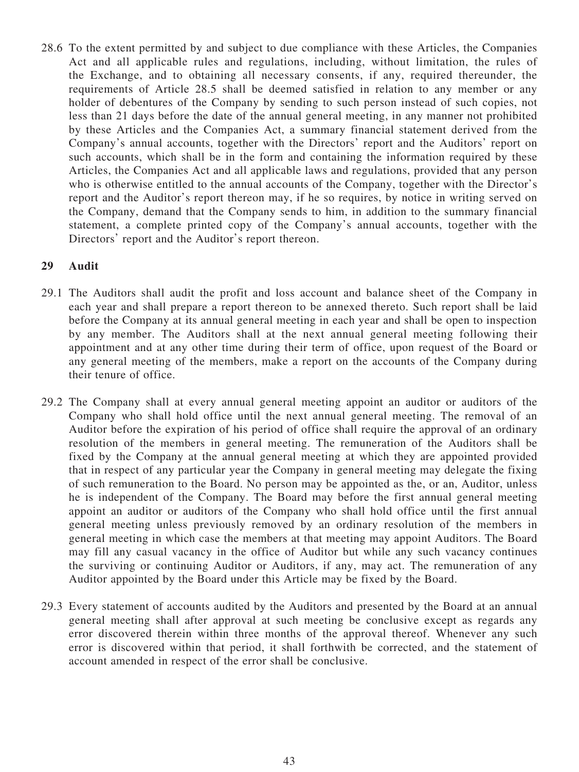28.6 To the extent permitted by and subject to due compliance with these Articles, the Companies Act and all applicable rules and regulations, including, without limitation, the rules of the Exchange, and to obtaining all necessary consents, if any, required thereunder, the requirements of Article [28.5](#page-46-0) shall be deemed satisfied in relation to any member or any holder of debentures of the Company by sending to such person instead of such copies, not less than 21 days before the date of the annual general meeting, in any manner not prohibited by these Articles and the Companies Act, a summary financial statement derived from the Company's annual accounts, together with the Directors' report and the Auditors' report on such accounts, which shall be in the form and containing the information required by these Articles, the Companies Act and all applicable laws and regulations, provided that any person who is otherwise entitled to the annual accounts of the Company, together with the Director's report and the Auditor's report thereon may, if he so requires, by notice in writing served on the Company, demand that the Company sends to him, in addition to the summary financial statement, a complete printed copy of the Company's annual accounts, together with the Directors' report and the Auditor's report thereon.

### **29 Audit**

- 29.1 The Auditors shall audit the profit and loss account and balance sheet of the Company in each year and shall prepare a report thereon to be annexed thereto. Such report shall be laid before the Company at its annual general meeting in each year and shall be open to inspection by any member. The Auditors shall at the next annual general meeting following their appointment and at any other time during their term of office, upon request of the Board or any general meeting of the members, make a report on the accounts of the Company during their tenure of office.
- 29.2 The Company shall at every annual general meeting appoint an auditor or auditors of the Company who shall hold office until the next annual general meeting. The removal of an Auditor before the expiration of his period of office shall require the approval of an ordinary resolution of the members in general meeting. The remuneration of the Auditors shall be fixed by the Company at the annual general meeting at which they are appointed provided that in respect of any particular year the Company in general meeting may delegate the fixing of such remuneration to the Board. No person may be appointed as the, or an, Auditor, unless he is independent of the Company. The Board may before the first annual general meeting appoint an auditor or auditors of the Company who shall hold office until the first annual general meeting unless previously removed by an ordinary resolution of the members in general meeting in which case the members at that meeting may appoint Auditors. The Board may fill any casual vacancy in the office of Auditor but while any such vacancy continues the surviving or continuing Auditor or Auditors, if any, may act. The remuneration of any Auditor appointed by the Board under this Article may be fixed by the Board.
- 29.3 Every statement of accounts audited by the Auditors and presented by the Board at an annual general meeting shall after approval at such meeting be conclusive except as regards any error discovered therein within three months of the approval thereof. Whenever any such error is discovered within that period, it shall forthwith be corrected, and the statement of account amended in respect of the error shall be conclusive.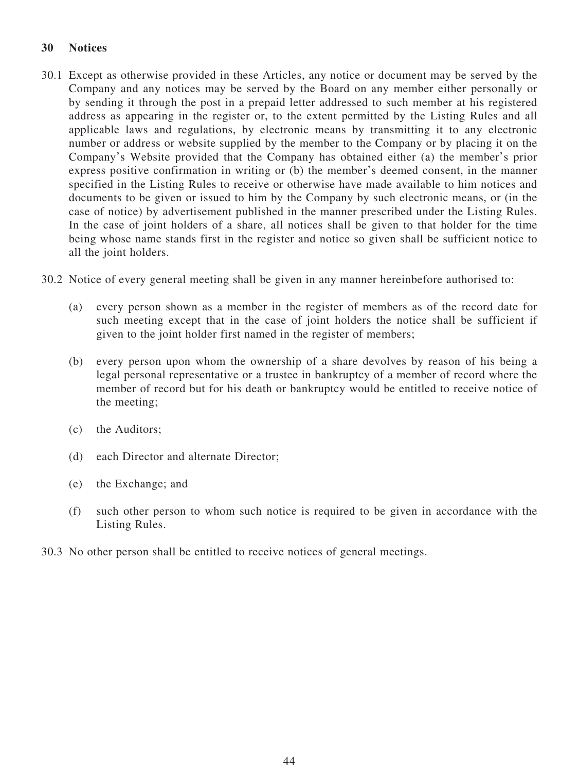## **30 Notices**

- 30.1 Except as otherwise provided in these Articles, any notice or document may be served by the Company and any notices may be served by the Board on any member either personally or by sending it through the post in a prepaid letter addressed to such member at his registered address as appearing in the register or, to the extent permitted by the Listing Rules and all applicable laws and regulations, by electronic means by transmitting it to any electronic number or address or website supplied by the member to the Company or by placing it on the Company's Website provided that the Company has obtained either (a) the member's prior express positive confirmation in writing or (b) the member's deemed consent, in the manner specified in the Listing Rules to receive or otherwise have made available to him notices and documents to be given or issued to him by the Company by such electronic means, or (in the case of notice) by advertisement published in the manner prescribed under the Listing Rules. In the case of joint holders of a share, all notices shall be given to that holder for the time being whose name stands first in the register and notice so given shall be sufficient notice to all the joint holders.
- 30.2 Notice of every general meeting shall be given in any manner hereinbefore authorised to:
	- (a) every person shown as a member in the register of members as of the record date for such meeting except that in the case of joint holders the notice shall be sufficient if given to the joint holder first named in the register of members;
	- (b) every person upon whom the ownership of a share devolves by reason of his being a legal personal representative or a trustee in bankruptcy of a member of record where the member of record but for his death or bankruptcy would be entitled to receive notice of the meeting;
	- (c) the Auditors;
	- (d) each Director and alternate Director;
	- (e) the Exchange; and
	- (f) such other person to whom such notice is required to be given in accordance with the Listing Rules.
- 30.3 No other person shall be entitled to receive notices of general meetings.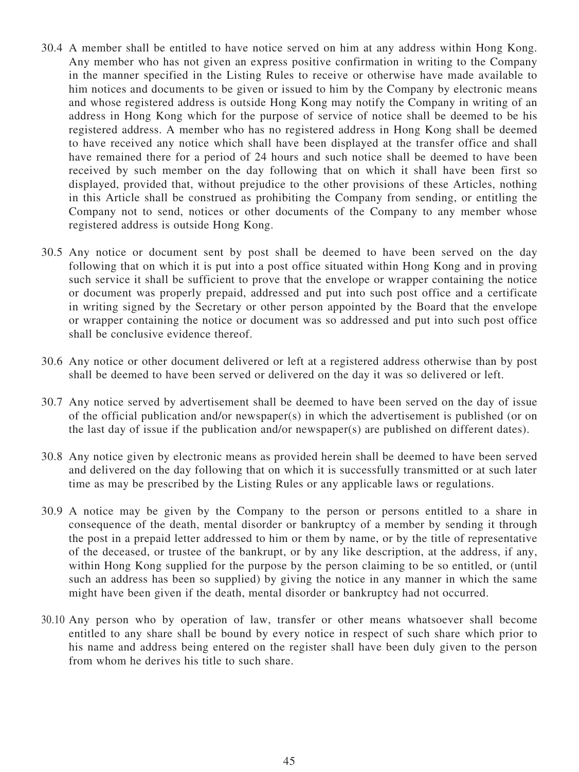- 30.4 A member shall be entitled to have notice served on him at any address within Hong Kong. Any member who has not given an express positive confirmation in writing to the Company in the manner specified in the Listing Rules to receive or otherwise have made available to him notices and documents to be given or issued to him by the Company by electronic means and whose registered address is outside Hong Kong may notify the Company in writing of an address in Hong Kong which for the purpose of service of notice shall be deemed to be his registered address. A member who has no registered address in Hong Kong shall be deemed to have received any notice which shall have been displayed at the transfer office and shall have remained there for a period of 24 hours and such notice shall be deemed to have been received by such member on the day following that on which it shall have been first so displayed, provided that, without prejudice to the other provisions of these Articles, nothing in this Article shall be construed as prohibiting the Company from sending, or entitling the Company not to send, notices or other documents of the Company to any member whose registered address is outside Hong Kong.
- 30.5 Any notice or document sent by post shall be deemed to have been served on the day following that on which it is put into a post office situated within Hong Kong and in proving such service it shall be sufficient to prove that the envelope or wrapper containing the notice or document was properly prepaid, addressed and put into such post office and a certificate in writing signed by the Secretary or other person appointed by the Board that the envelope or wrapper containing the notice or document was so addressed and put into such post office shall be conclusive evidence thereof.
- 30.6 Any notice or other document delivered or left at a registered address otherwise than by post shall be deemed to have been served or delivered on the day it was so delivered or left.
- 30.7 Any notice served by advertisement shall be deemed to have been served on the day of issue of the official publication and/or newspaper(s) in which the advertisement is published (or on the last day of issue if the publication and/or newspaper(s) are published on different dates).
- 30.8 Any notice given by electronic means as provided herein shall be deemed to have been served and delivered on the day following that on which it is successfully transmitted or at such later time as may be prescribed by the Listing Rules or any applicable laws or regulations.
- 30.9 A notice may be given by the Company to the person or persons entitled to a share in consequence of the death, mental disorder or bankruptcy of a member by sending it through the post in a prepaid letter addressed to him or them by name, or by the title of representative of the deceased, or trustee of the bankrupt, or by any like description, at the address, if any, within Hong Kong supplied for the purpose by the person claiming to be so entitled, or (until such an address has been so supplied) by giving the notice in any manner in which the same might have been given if the death, mental disorder or bankruptcy had not occurred.
- 30.10 Any person who by operation of law, transfer or other means whatsoever shall become entitled to any share shall be bound by every notice in respect of such share which prior to his name and address being entered on the register shall have been duly given to the person from whom he derives his title to such share.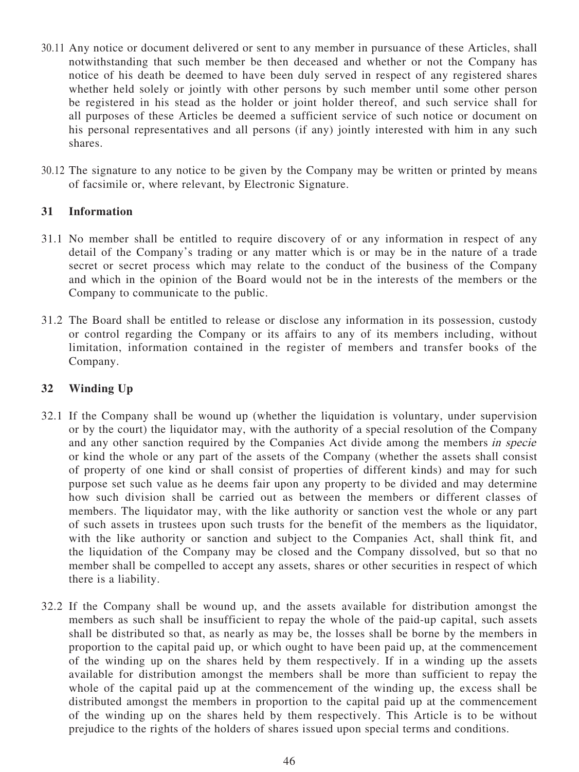- 30.11 Any notice or document delivered or sent to any member in pursuance of these Articles, shall notwithstanding that such member be then deceased and whether or not the Company has notice of his death be deemed to have been duly served in respect of any registered shares whether held solely or jointly with other persons by such member until some other person be registered in his stead as the holder or joint holder thereof, and such service shall for all purposes of these Articles be deemed a sufficient service of such notice or document on his personal representatives and all persons (if any) jointly interested with him in any such shares.
- 30.12 The signature to any notice to be given by the Company may be written or printed by means of facsimile or, where relevant, by Electronic Signature.

### **31 Information**

- 31.1 No member shall be entitled to require discovery of or any information in respect of any detail of the Company's trading or any matter which is or may be in the nature of a trade secret or secret process which may relate to the conduct of the business of the Company and which in the opinion of the Board would not be in the interests of the members or the Company to communicate to the public.
- 31.2 The Board shall be entitled to release or disclose any information in its possession, custody or control regarding the Company or its affairs to any of its members including, without limitation, information contained in the register of members and transfer books of the Company.

#### **32 Winding Up**

- 32.1 If the Company shall be wound up (whether the liquidation is voluntary, under supervision or by the court) the liquidator may, with the authority of a special resolution of the Company and any other sanction required by the Companies Act divide among the members in specie or kind the whole or any part of the assets of the Company (whether the assets shall consist of property of one kind or shall consist of properties of different kinds) and may for such purpose set such value as he deems fair upon any property to be divided and may determine how such division shall be carried out as between the members or different classes of members. The liquidator may, with the like authority or sanction vest the whole or any part of such assets in trustees upon such trusts for the benefit of the members as the liquidator, with the like authority or sanction and subject to the Companies Act, shall think fit, and the liquidation of the Company may be closed and the Company dissolved, but so that no member shall be compelled to accept any assets, shares or other securities in respect of which there is a liability.
- 32.2 If the Company shall be wound up, and the assets available for distribution amongst the members as such shall be insufficient to repay the whole of the paid-up capital, such assets shall be distributed so that, as nearly as may be, the losses shall be borne by the members in proportion to the capital paid up, or which ought to have been paid up, at the commencement of the winding up on the shares held by them respectively. If in a winding up the assets available for distribution amongst the members shall be more than sufficient to repay the whole of the capital paid up at the commencement of the winding up, the excess shall be distributed amongst the members in proportion to the capital paid up at the commencement of the winding up on the shares held by them respectively. This Article is to be without prejudice to the rights of the holders of shares issued upon special terms and conditions.